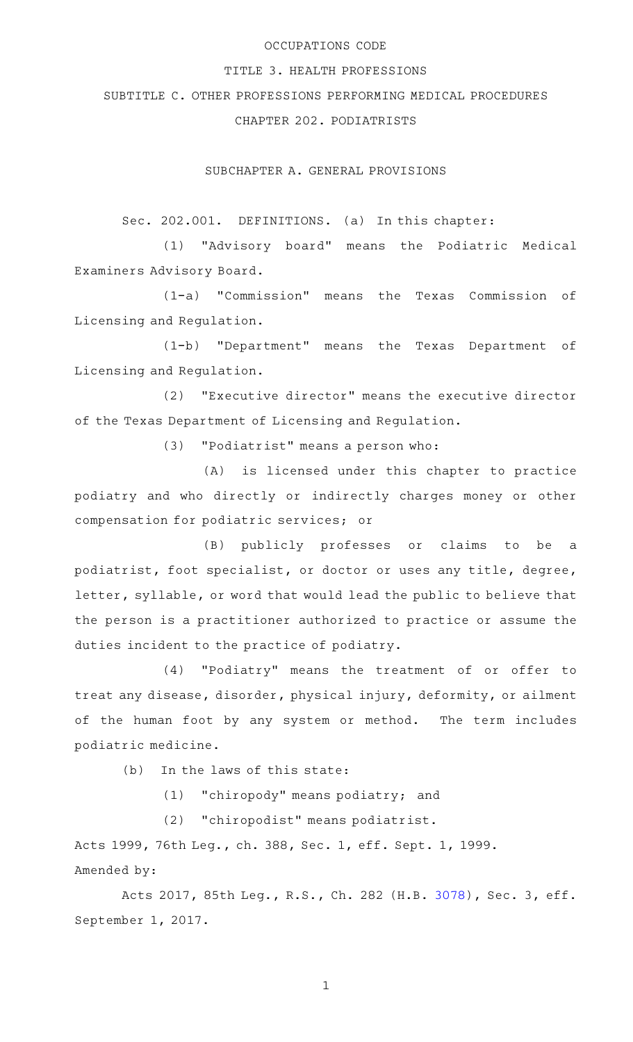### OCCUPATIONS CODE

#### TITLE 3. HEALTH PROFESSIONS

SUBTITLE C. OTHER PROFESSIONS PERFORMING MEDICAL PROCEDURES

CHAPTER 202. PODIATRISTS

SUBCHAPTER A. GENERAL PROVISIONS

Sec. 202.001. DEFINITIONS. (a) In this chapter:

(1) "Advisory board" means the Podiatric Medical Examiners Advisory Board.

(1-a) "Commission" means the Texas Commission of Licensing and Regulation.

(1-b) "Department" means the Texas Department of Licensing and Regulation.

(2) "Executive director" means the executive director of the Texas Department of Licensing and Regulation.

(3) "Podiatrist" means a person who:

(A) is licensed under this chapter to practice podiatry and who directly or indirectly charges money or other compensation for podiatric services; or

(B) publicly professes or claims to be a podiatrist, foot specialist, or doctor or uses any title, degree, letter, syllable, or word that would lead the public to believe that the person is a practitioner authorized to practice or assume the duties incident to the practice of podiatry.

(4) "Podiatry" means the treatment of or offer to treat any disease, disorder, physical injury, deformity, or ailment of the human foot by any system or method. The term includes podiatric medicine.

(b) In the laws of this state:

 $(1)$  "chiropody" means podiatry; and

(2) "chiropodist" means podiatrist.

Acts 1999, 76th Leg., ch. 388, Sec. 1, eff. Sept. 1, 1999. Amended by:

Acts 2017, 85th Leg., R.S., Ch. 282 (H.B. [3078](http://www.legis.state.tx.us/tlodocs/85R/billtext/html/HB03078F.HTM)), Sec. 3, eff. September 1, 2017.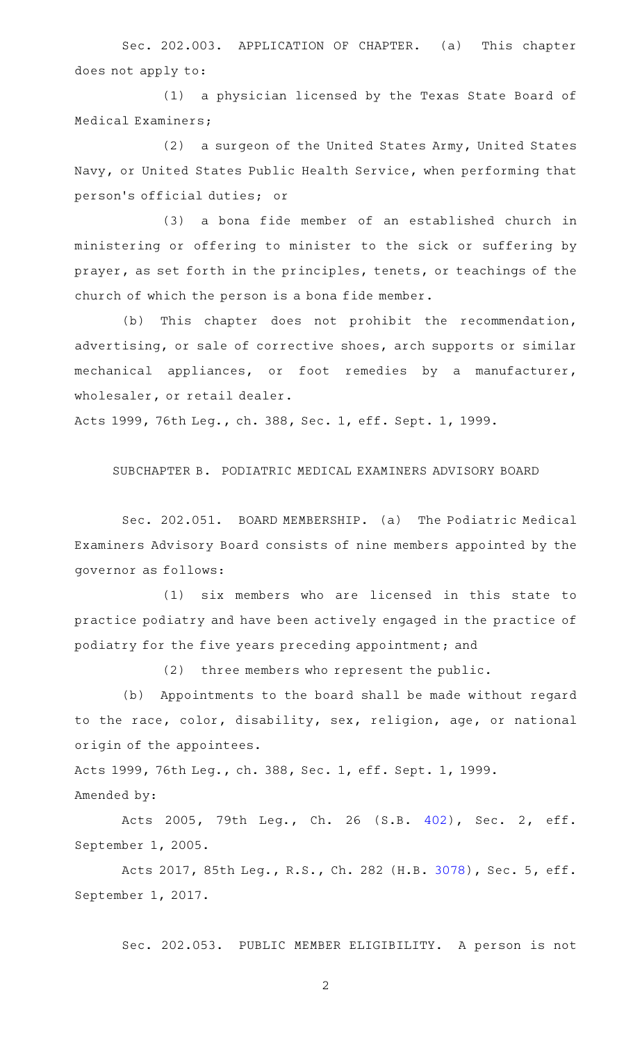Sec. 202.003. APPLICATION OF CHAPTER. (a) This chapter does not apply to:

(1) a physician licensed by the Texas State Board of Medical Examiners;

(2) a surgeon of the United States Army, United States Navy, or United States Public Health Service, when performing that person 's official duties; or

(3) a bona fide member of an established church in ministering or offering to minister to the sick or suffering by prayer, as set forth in the principles, tenets, or teachings of the church of which the person is a bona fide member.

(b) This chapter does not prohibit the recommendation, advertising, or sale of corrective shoes, arch supports or similar mechanical appliances, or foot remedies by a manufacturer, wholesaler, or retail dealer.

Acts 1999, 76th Leg., ch. 388, Sec. 1, eff. Sept. 1, 1999.

SUBCHAPTER B. PODIATRIC MEDICAL EXAMINERS ADVISORY BOARD

Sec. 202.051. BOARD MEMBERSHIP. (a) The Podiatric Medical Examiners Advisory Board consists of nine members appointed by the governor as follows:

(1) six members who are licensed in this state to practice podiatry and have been actively engaged in the practice of podiatry for the five years preceding appointment; and

(2) three members who represent the public.

(b) Appointments to the board shall be made without regard to the race, color, disability, sex, religion, age, or national origin of the appointees.

Acts 1999, 76th Leg., ch. 388, Sec. 1, eff. Sept. 1, 1999. Amended by:

Acts 2005, 79th Leg., Ch. 26 (S.B. [402\)](http://www.legis.state.tx.us/tlodocs/79R/billtext/html/SB00402F.HTM), Sec. 2, eff. September 1, 2005.

Acts 2017, 85th Leg., R.S., Ch. 282 (H.B. [3078](http://www.legis.state.tx.us/tlodocs/85R/billtext/html/HB03078F.HTM)), Sec. 5, eff. September 1, 2017.

Sec. 202.053. PUBLIC MEMBER ELIGIBILITY. A person is not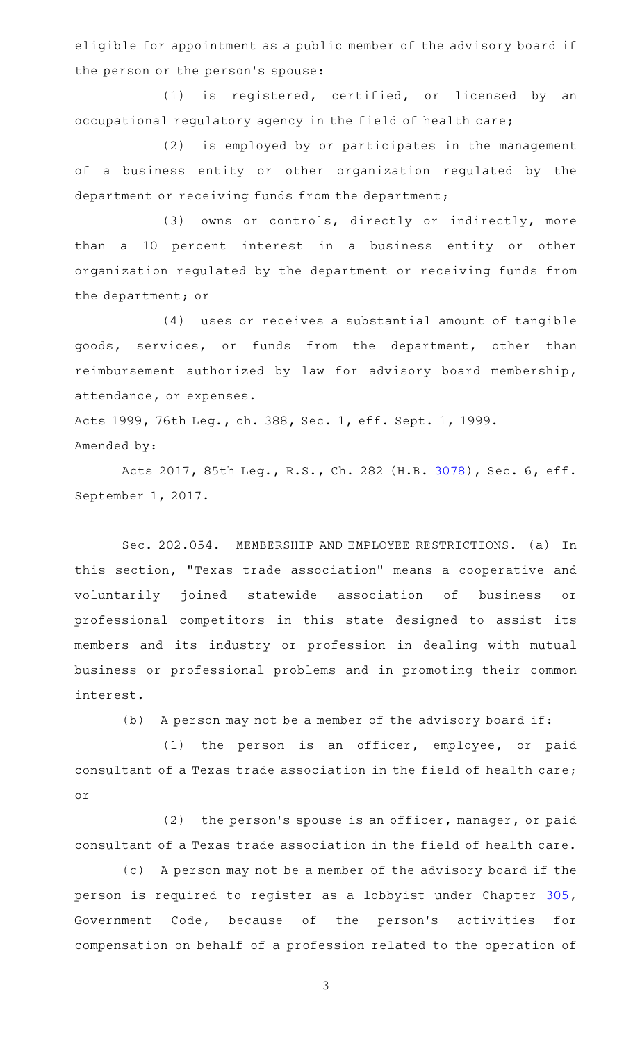eligible for appointment as a public member of the advisory board if the person or the person 's spouse:

(1) is registered, certified, or licensed by an occupational regulatory agency in the field of health care;

(2) is employed by or participates in the management of a business entity or other organization regulated by the department or receiving funds from the department;

(3) owns or controls, directly or indirectly, more than a 10 percent interest in a business entity or other organization regulated by the department or receiving funds from the department; or

(4) uses or receives a substantial amount of tangible goods, services, or funds from the department, other than reimbursement authorized by law for advisory board membership, attendance, or expenses.

Acts 1999, 76th Leg., ch. 388, Sec. 1, eff. Sept. 1, 1999. Amended by:

Acts 2017, 85th Leg., R.S., Ch. 282 (H.B. [3078](http://www.legis.state.tx.us/tlodocs/85R/billtext/html/HB03078F.HTM)), Sec. 6, eff. September 1, 2017.

Sec. 202.054. MEMBERSHIP AND EMPLOYEE RESTRICTIONS. (a) In this section, "Texas trade association" means a cooperative and voluntarily joined statewide association of business or professional competitors in this state designed to assist its members and its industry or profession in dealing with mutual business or professional problems and in promoting their common interest.

(b) A person may not be a member of the advisory board if:

 $(1)$  the person is an officer, employee, or paid consultant of a Texas trade association in the field of health care; or

 $(2)$  the person's spouse is an officer, manager, or paid consultant of a Texas trade association in the field of health care.

(c) A person may not be a member of the advisory board if the person is required to register as a lobbyist under Chapter [305](http://www.statutes.legis.state.tx.us/GetStatute.aspx?Code=GV&Value=305), Government Code, because of the person's activities for compensation on behalf of a profession related to the operation of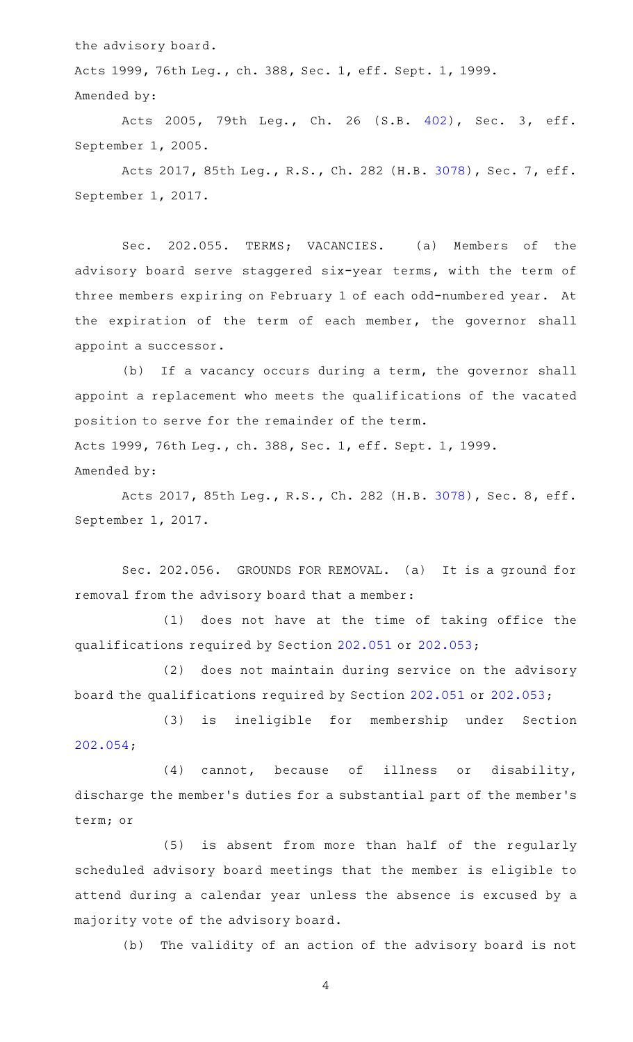the advisory board.

Acts 1999, 76th Leg., ch. 388, Sec. 1, eff. Sept. 1, 1999. Amended by:

Acts 2005, 79th Leg., Ch. 26 (S.B. [402\)](http://www.legis.state.tx.us/tlodocs/79R/billtext/html/SB00402F.HTM), Sec. 3, eff. September 1, 2005.

Acts 2017, 85th Leg., R.S., Ch. 282 (H.B. [3078](http://www.legis.state.tx.us/tlodocs/85R/billtext/html/HB03078F.HTM)), Sec. 7, eff. September 1, 2017.

Sec. 202.055. TERMS; VACANCIES. (a) Members of the advisory board serve staggered six-year terms, with the term of three members expiring on February 1 of each odd-numbered year. At the expiration of the term of each member, the governor shall appoint a successor.

(b) If a vacancy occurs during a term, the governor shall appoint a replacement who meets the qualifications of the vacated position to serve for the remainder of the term. Acts 1999, 76th Leg., ch. 388, Sec. 1, eff. Sept. 1, 1999. Amended by:

Acts 2017, 85th Leg., R.S., Ch. 282 (H.B. [3078](http://www.legis.state.tx.us/tlodocs/85R/billtext/html/HB03078F.HTM)), Sec. 8, eff. September 1, 2017.

Sec. 202.056. GROUNDS FOR REMOVAL. (a) It is a ground for removal from the advisory board that a member:

(1) does not have at the time of taking office the qualifications required by Section [202.051](http://www.statutes.legis.state.tx.us/GetStatute.aspx?Code=OC&Value=202.051) or [202.053;](http://www.statutes.legis.state.tx.us/GetStatute.aspx?Code=OC&Value=202.053)

(2) does not maintain during service on the advisory board the qualifications required by Section [202.051](http://www.statutes.legis.state.tx.us/GetStatute.aspx?Code=OC&Value=202.051) or [202.053](http://www.statutes.legis.state.tx.us/GetStatute.aspx?Code=OC&Value=202.053);

(3) is ineligible for membership under Section [202.054;](http://www.statutes.legis.state.tx.us/GetStatute.aspx?Code=OC&Value=202.054)

(4) cannot, because of illness or disability, discharge the member 's duties for a substantial part of the member 's term; or

(5) is absent from more than half of the regularly scheduled advisory board meetings that the member is eligible to attend during a calendar year unless the absence is excused by a majority vote of the advisory board.

(b) The validity of an action of the advisory board is not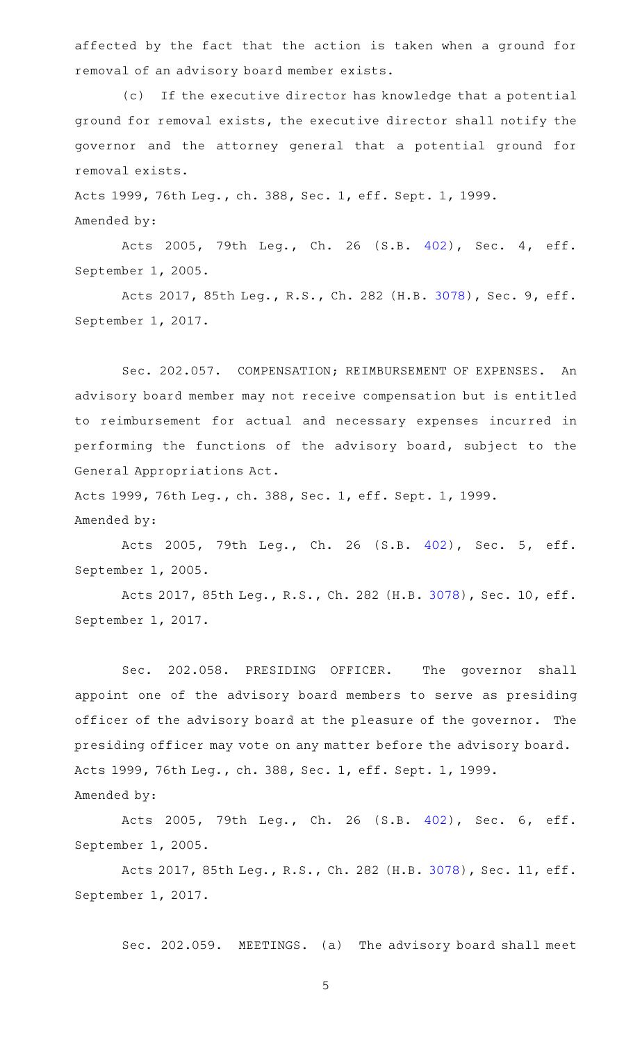affected by the fact that the action is taken when a ground for removal of an advisory board member exists.

(c) If the executive director has knowledge that a potential ground for removal exists, the executive director shall notify the governor and the attorney general that a potential ground for removal exists.

Acts 1999, 76th Leg., ch. 388, Sec. 1, eff. Sept. 1, 1999. Amended by:

Acts 2005, 79th Leg., Ch. 26 (S.B. [402\)](http://www.legis.state.tx.us/tlodocs/79R/billtext/html/SB00402F.HTM), Sec. 4, eff. September 1, 2005.

Acts 2017, 85th Leg., R.S., Ch. 282 (H.B. [3078](http://www.legis.state.tx.us/tlodocs/85R/billtext/html/HB03078F.HTM)), Sec. 9, eff. September 1, 2017.

Sec. 202.057. COMPENSATION; REIMBURSEMENT OF EXPENSES. An advisory board member may not receive compensation but is entitled to reimbursement for actual and necessary expenses incurred in performing the functions of the advisory board, subject to the General Appropriations Act.

Acts 1999, 76th Leg., ch. 388, Sec. 1, eff. Sept. 1, 1999. Amended by:

Acts 2005, 79th Leg., Ch. 26 (S.B. [402\)](http://www.legis.state.tx.us/tlodocs/79R/billtext/html/SB00402F.HTM), Sec. 5, eff. September 1, 2005.

Acts 2017, 85th Leg., R.S., Ch. 282 (H.B. [3078\)](http://www.legis.state.tx.us/tlodocs/85R/billtext/html/HB03078F.HTM), Sec. 10, eff. September 1, 2017.

Sec. 202.058. PRESIDING OFFICER. The governor shall appoint one of the advisory board members to serve as presiding officer of the advisory board at the pleasure of the governor. The presiding officer may vote on any matter before the advisory board. Acts 1999, 76th Leg., ch. 388, Sec. 1, eff. Sept. 1, 1999. Amended by:

Acts 2005, 79th Leg., Ch. 26 (S.B. [402\)](http://www.legis.state.tx.us/tlodocs/79R/billtext/html/SB00402F.HTM), Sec. 6, eff. September 1, 2005.

Acts 2017, 85th Leg., R.S., Ch. 282 (H.B. [3078\)](http://www.legis.state.tx.us/tlodocs/85R/billtext/html/HB03078F.HTM), Sec. 11, eff. September 1, 2017.

Sec. 202.059. MEETINGS. (a) The advisory board shall meet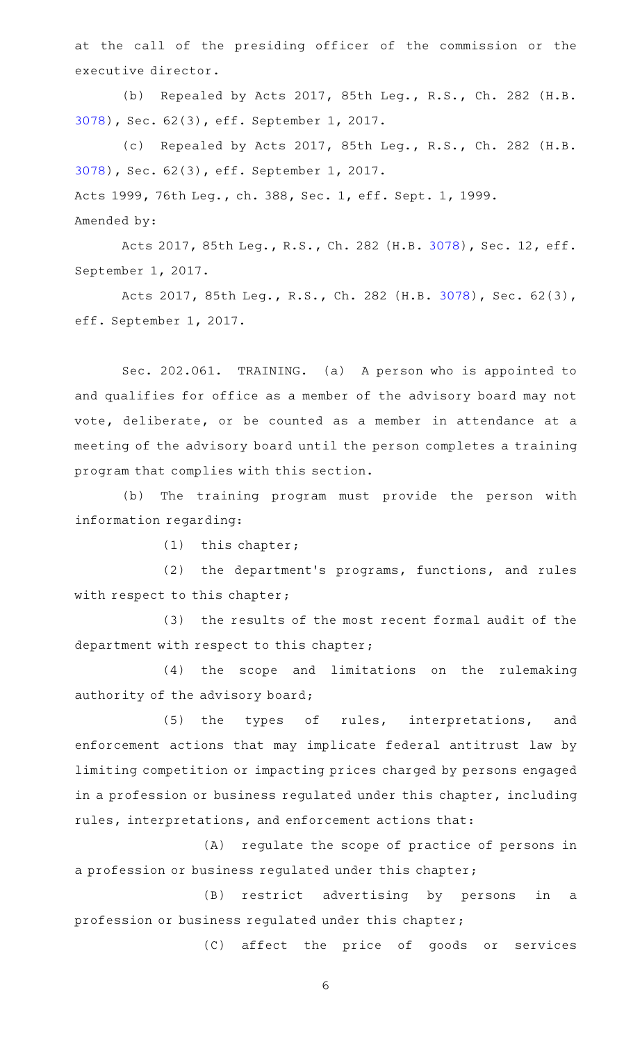at the call of the presiding officer of the commission or the executive director.

(b) Repealed by Acts 2017, 85th Leg., R.S., Ch. 282 (H.B. [3078](http://www.legis.state.tx.us/tlodocs/85R/billtext/html/HB03078F.HTM)), Sec. 62(3), eff. September 1, 2017.

(c) Repealed by Acts 2017, 85th Leg., R.S., Ch. 282 (H.B. [3078](http://www.legis.state.tx.us/tlodocs/85R/billtext/html/HB03078F.HTM)), Sec. 62(3), eff. September 1, 2017. Acts 1999, 76th Leg., ch. 388, Sec. 1, eff. Sept. 1, 1999. Amended by:

Acts 2017, 85th Leg., R.S., Ch. 282 (H.B. [3078\)](http://www.legis.state.tx.us/tlodocs/85R/billtext/html/HB03078F.HTM), Sec. 12, eff. September 1, 2017.

Acts 2017, 85th Leg., R.S., Ch. 282 (H.B. [3078\)](http://www.legis.state.tx.us/tlodocs/85R/billtext/html/HB03078F.HTM), Sec. 62(3), eff. September 1, 2017.

Sec. 202.061. TRAINING. (a) A person who is appointed to and qualifies for office as a member of the advisory board may not vote, deliberate, or be counted as a member in attendance at a meeting of the advisory board until the person completes a training program that complies with this section.

(b) The training program must provide the person with information regarding:

 $(1)$  this chapter;

(2) the department's programs, functions, and rules with respect to this chapter;

(3) the results of the most recent formal audit of the department with respect to this chapter;

(4) the scope and limitations on the rulemaking authority of the advisory board;

(5) the types of rules, interpretations, and enforcement actions that may implicate federal antitrust law by limiting competition or impacting prices charged by persons engaged in a profession or business regulated under this chapter, including rules, interpretations, and enforcement actions that:

(A) regulate the scope of practice of persons in a profession or business regulated under this chapter;

(B) restrict advertising by persons in a profession or business regulated under this chapter;

(C) affect the price of goods or services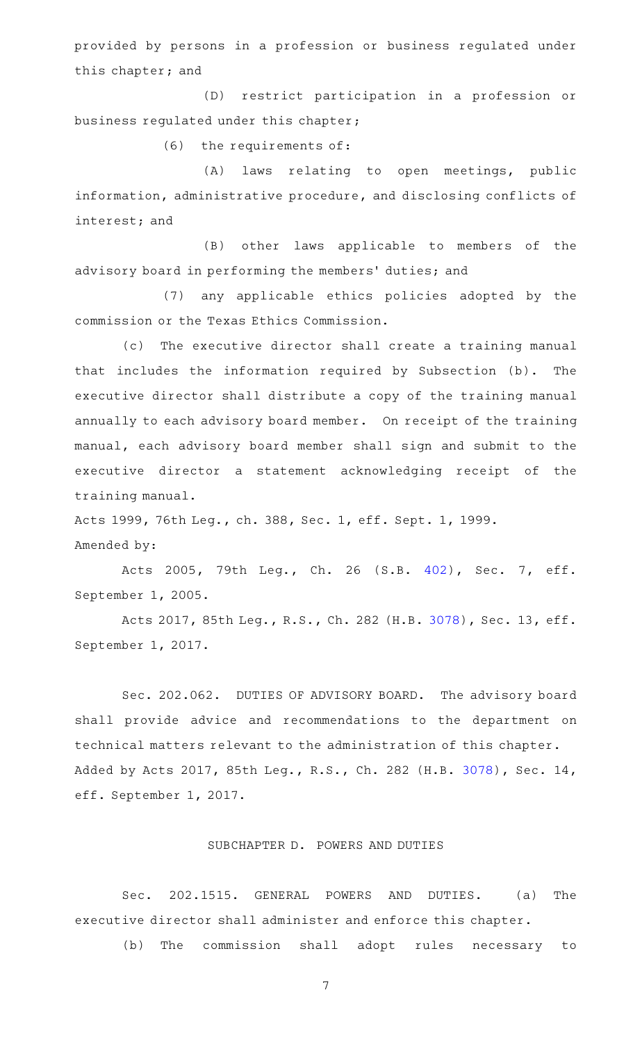provided by persons in a profession or business regulated under this chapter; and

(D) restrict participation in a profession or business regulated under this chapter;

 $(6)$  the requirements of:

(A) laws relating to open meetings, public information, administrative procedure, and disclosing conflicts of interest; and

(B) other laws applicable to members of the advisory board in performing the members' duties; and

(7) any applicable ethics policies adopted by the commission or the Texas Ethics Commission.

(c) The executive director shall create a training manual that includes the information required by Subsection (b). The executive director shall distribute a copy of the training manual annually to each advisory board member. On receipt of the training manual, each advisory board member shall sign and submit to the executive director a statement acknowledging receipt of the training manual.

Acts 1999, 76th Leg., ch. 388, Sec. 1, eff. Sept. 1, 1999. Amended by:

Acts 2005, 79th Leg., Ch. 26 (S.B. [402\)](http://www.legis.state.tx.us/tlodocs/79R/billtext/html/SB00402F.HTM), Sec. 7, eff. September 1, 2005.

Acts 2017, 85th Leg., R.S., Ch. 282 (H.B. [3078\)](http://www.legis.state.tx.us/tlodocs/85R/billtext/html/HB03078F.HTM), Sec. 13, eff. September 1, 2017.

Sec. 202.062. DUTIES OF ADVISORY BOARD. The advisory board shall provide advice and recommendations to the department on technical matters relevant to the administration of this chapter. Added by Acts 2017, 85th Leg., R.S., Ch. 282 (H.B. [3078\)](http://www.legis.state.tx.us/tlodocs/85R/billtext/html/HB03078F.HTM), Sec. 14, eff. September 1, 2017.

# SUBCHAPTER D. POWERS AND DUTIES

Sec. 202.1515. GENERAL POWERS AND DUTIES. (a) The executive director shall administer and enforce this chapter.

(b) The commission shall adopt rules necessary to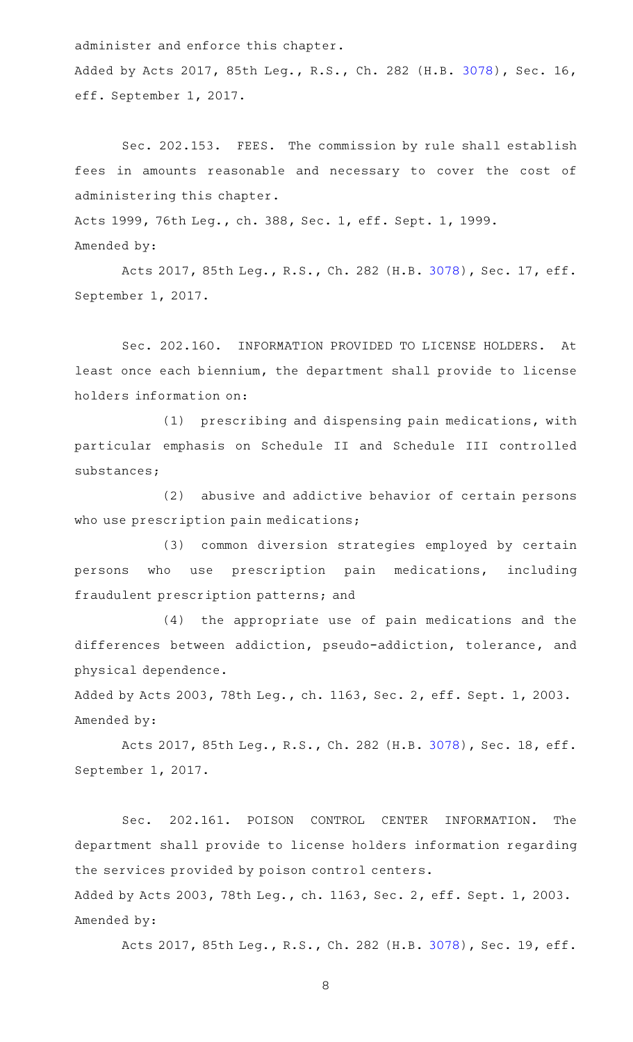administer and enforce this chapter.

Added by Acts 2017, 85th Leg., R.S., Ch. 282 (H.B. [3078\)](http://www.legis.state.tx.us/tlodocs/85R/billtext/html/HB03078F.HTM), Sec. 16, eff. September 1, 2017.

Sec. 202.153. FEES. The commission by rule shall establish fees in amounts reasonable and necessary to cover the cost of administering this chapter.

Acts 1999, 76th Leg., ch. 388, Sec. 1, eff. Sept. 1, 1999. Amended by:

Acts 2017, 85th Leg., R.S., Ch. 282 (H.B. [3078\)](http://www.legis.state.tx.us/tlodocs/85R/billtext/html/HB03078F.HTM), Sec. 17, eff. September 1, 2017.

Sec. 202.160. INFORMATION PROVIDED TO LICENSE HOLDERS. At least once each biennium, the department shall provide to license holders information on:

 $(1)$  prescribing and dispensing pain medications, with particular emphasis on Schedule II and Schedule III controlled substances;

(2) abusive and addictive behavior of certain persons who use prescription pain medications;

(3) common diversion strategies employed by certain persons who use prescription pain medications, including fraudulent prescription patterns; and

(4) the appropriate use of pain medications and the differences between addiction, pseudo-addiction, tolerance, and physical dependence.

Added by Acts 2003, 78th Leg., ch. 1163, Sec. 2, eff. Sept. 1, 2003. Amended by:

Acts 2017, 85th Leg., R.S., Ch. 282 (H.B. [3078\)](http://www.legis.state.tx.us/tlodocs/85R/billtext/html/HB03078F.HTM), Sec. 18, eff. September 1, 2017.

Sec. 202.161. POISON CONTROL CENTER INFORMATION. The department shall provide to license holders information regarding the services provided by poison control centers.

Added by Acts 2003, 78th Leg., ch. 1163, Sec. 2, eff. Sept. 1, 2003. Amended by:

Acts 2017, 85th Leg., R.S., Ch. 282 (H.B. [3078\)](http://www.legis.state.tx.us/tlodocs/85R/billtext/html/HB03078F.HTM), Sec. 19, eff.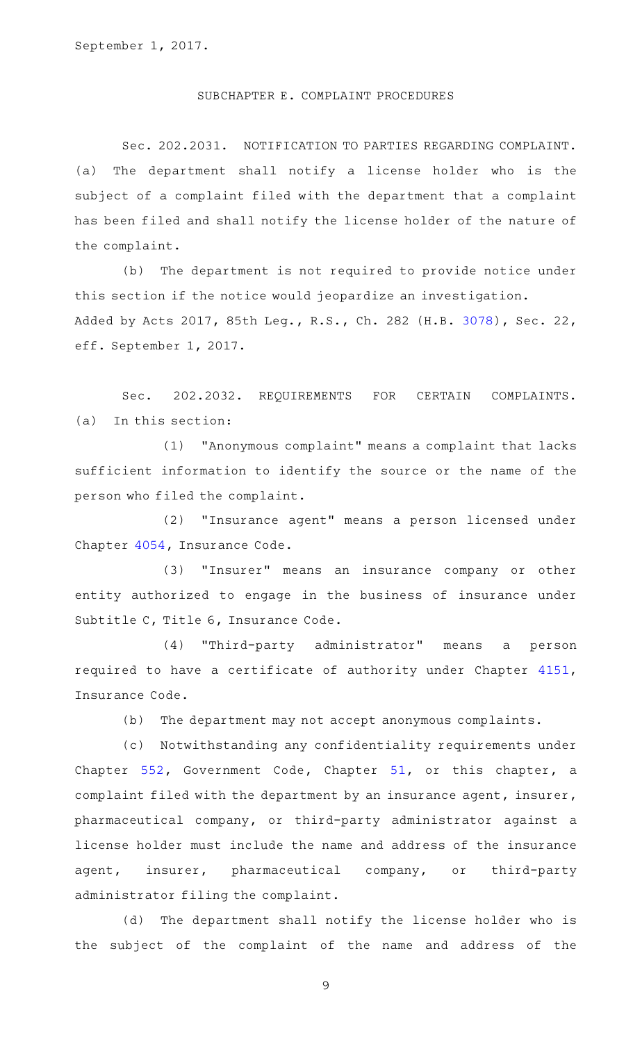### SUBCHAPTER E. COMPLAINT PROCEDURES

Sec. 202.2031. NOTIFICATION TO PARTIES REGARDING COMPLAINT. (a) The department shall notify a license holder who is the subject of a complaint filed with the department that a complaint has been filed and shall notify the license holder of the nature of the complaint.

(b) The department is not required to provide notice under this section if the notice would jeopardize an investigation. Added by Acts 2017, 85th Leg., R.S., Ch. 282 (H.B. [3078\)](http://www.legis.state.tx.us/tlodocs/85R/billtext/html/HB03078F.HTM), Sec. 22, eff. September 1, 2017.

Sec. 202.2032. REQUIREMENTS FOR CERTAIN COMPLAINTS.  $(a)$  In this section:

(1) "Anonymous complaint" means a complaint that lacks sufficient information to identify the source or the name of the person who filed the complaint.

(2) "Insurance agent" means a person licensed under Chapter [4054](http://www.statutes.legis.state.tx.us/GetStatute.aspx?Code=IN&Value=4054), Insurance Code.

(3) "Insurer" means an insurance company or other entity authorized to engage in the business of insurance under Subtitle C, Title 6, Insurance Code.

(4) "Third-party administrator" means a person required to have a certificate of authority under Chapter [4151](http://www.statutes.legis.state.tx.us/GetStatute.aspx?Code=IN&Value=4151), Insurance Code.

(b) The department may not accept anonymous complaints.

(c) Notwithstanding any confidentiality requirements under Chapter [552,](http://www.statutes.legis.state.tx.us/GetStatute.aspx?Code=GV&Value=552) Government Code, Chapter [51](http://www.statutes.legis.state.tx.us/GetStatute.aspx?Code=GV&Value=51), or this chapter, a complaint filed with the department by an insurance agent, insurer, pharmaceutical company, or third-party administrator against a license holder must include the name and address of the insurance agent, insurer, pharmaceutical company, or third-party administrator filing the complaint.

(d) The department shall notify the license holder who is the subject of the complaint of the name and address of the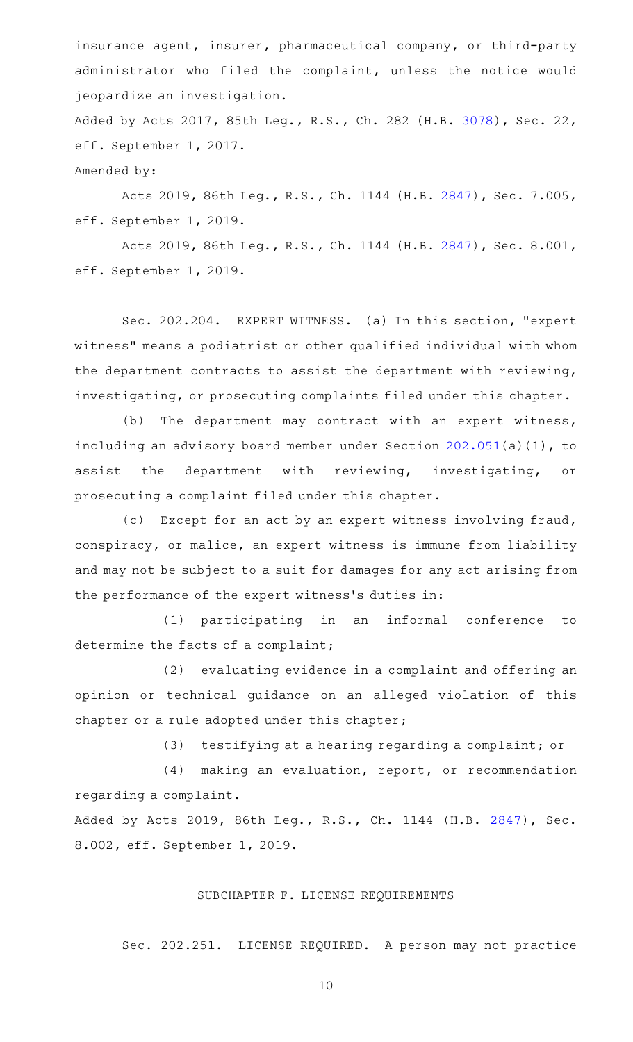insurance agent, insurer, pharmaceutical company, or third-party administrator who filed the complaint, unless the notice would jeopardize an investigation.

Added by Acts 2017, 85th Leg., R.S., Ch. 282 (H.B. [3078\)](http://www.legis.state.tx.us/tlodocs/85R/billtext/html/HB03078F.HTM), Sec. 22, eff. September 1, 2017.

Amended by:

Acts 2019, 86th Leg., R.S., Ch. 1144 (H.B. [2847](http://www.legis.state.tx.us/tlodocs/86R/billtext/html/HB02847F.HTM)), Sec. 7.005, eff. September 1, 2019.

Acts 2019, 86th Leg., R.S., Ch. 1144 (H.B. [2847](http://www.legis.state.tx.us/tlodocs/86R/billtext/html/HB02847F.HTM)), Sec. 8.001, eff. September 1, 2019.

Sec. 202.204. EXPERT WITNESS. (a) In this section, "expert witness" means a podiatrist or other qualified individual with whom the department contracts to assist the department with reviewing, investigating, or prosecuting complaints filed under this chapter.

(b) The department may contract with an expert witness, including an advisory board member under Section [202.051](http://www.statutes.legis.state.tx.us/GetStatute.aspx?Code=OC&Value=202.051)(a)(1), to assist the department with reviewing, investigating, or prosecuting a complaint filed under this chapter.

(c) Except for an act by an expert witness involving fraud, conspiracy, or malice, an expert witness is immune from liability and may not be subject to a suit for damages for any act arising from the performance of the expert witness's duties in:

(1) participating in an informal conference to determine the facts of a complaint;

(2) evaluating evidence in a complaint and offering an opinion or technical guidance on an alleged violation of this chapter or a rule adopted under this chapter;

(3) testifying at a hearing regarding a complaint; or

 $(4)$  making an evaluation, report, or recommendation regarding a complaint.

Added by Acts 2019, 86th Leg., R.S., Ch. 1144 (H.B. [2847](http://www.legis.state.tx.us/tlodocs/86R/billtext/html/HB02847F.HTM)), Sec. 8.002, eff. September 1, 2019.

## SUBCHAPTER F. LICENSE REQUIREMENTS

Sec. 202.251. LICENSE REQUIRED. A person may not practice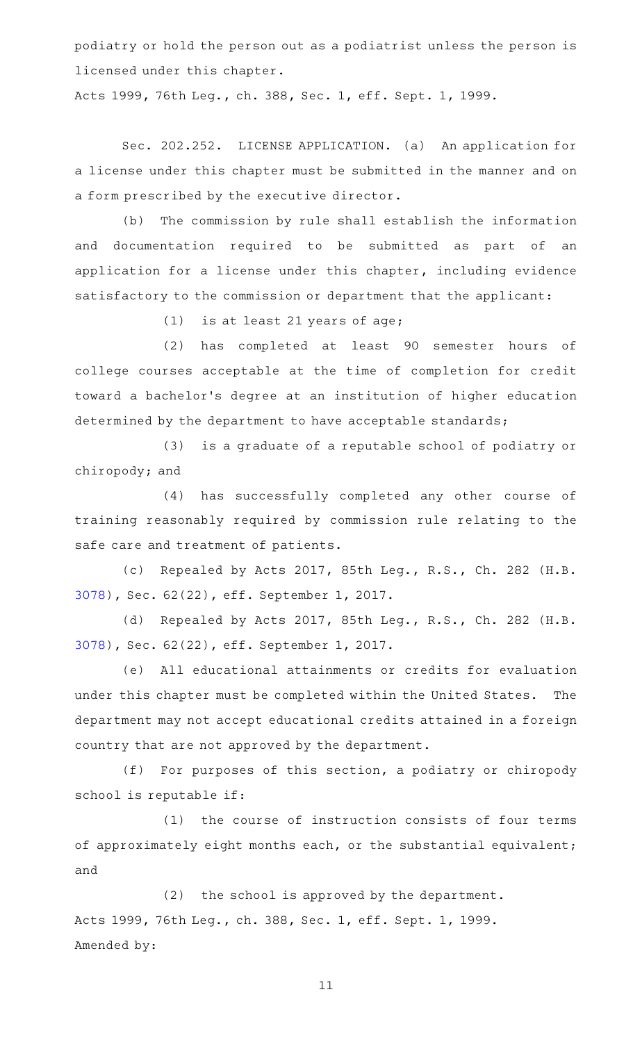podiatry or hold the person out as a podiatrist unless the person is licensed under this chapter.

Acts 1999, 76th Leg., ch. 388, Sec. 1, eff. Sept. 1, 1999.

Sec. 202.252. LICENSE APPLICATION. (a) An application for a license under this chapter must be submitted in the manner and on a form prescribed by the executive director.

(b) The commission by rule shall establish the information and documentation required to be submitted as part of an application for a license under this chapter, including evidence satisfactory to the commission or department that the applicant:

(1) is at least 21 years of age;

(2) has completed at least 90 semester hours of college courses acceptable at the time of completion for credit toward a bachelor 's degree at an institution of higher education determined by the department to have acceptable standards;

(3) is a graduate of a reputable school of podiatry or chiropody; and

(4) has successfully completed any other course of training reasonably required by commission rule relating to the safe care and treatment of patients.

(c) Repealed by Acts 2017, 85th Leg., R.S., Ch. 282 (H.B. [3078](http://www.legis.state.tx.us/tlodocs/85R/billtext/html/HB03078F.HTM)), Sec. 62(22), eff. September 1, 2017.

(d) Repealed by Acts 2017, 85th Leg., R.S., Ch. 282 (H.B. [3078](http://www.legis.state.tx.us/tlodocs/85R/billtext/html/HB03078F.HTM)), Sec. 62(22), eff. September 1, 2017.

(e) All educational attainments or credits for evaluation under this chapter must be completed within the United States. The department may not accept educational credits attained in a foreign country that are not approved by the department.

(f) For purposes of this section, a podiatry or chiropody school is reputable if:

(1) the course of instruction consists of four terms of approximately eight months each, or the substantial equivalent; and

 $(2)$  the school is approved by the department. Acts 1999, 76th Leg., ch. 388, Sec. 1, eff. Sept. 1, 1999. Amended by: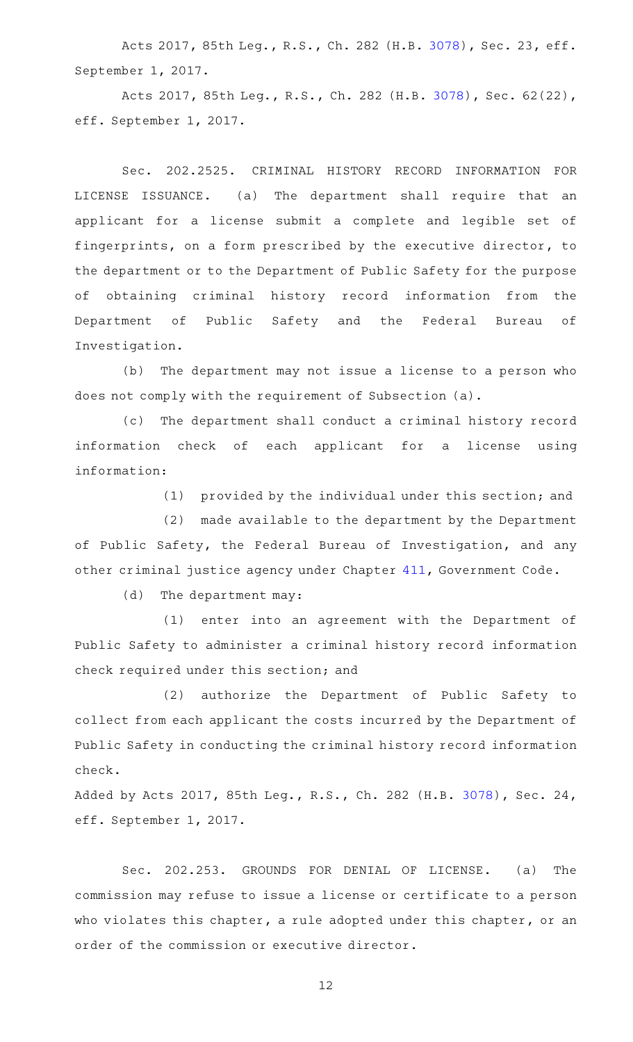Acts 2017, 85th Leg., R.S., Ch. 282 (H.B. [3078\)](http://www.legis.state.tx.us/tlodocs/85R/billtext/html/HB03078F.HTM), Sec. 23, eff. September 1, 2017.

Acts 2017, 85th Leg., R.S., Ch. 282 (H.B. [3078\)](http://www.legis.state.tx.us/tlodocs/85R/billtext/html/HB03078F.HTM), Sec. 62(22), eff. September 1, 2017.

Sec. 202.2525. CRIMINAL HISTORY RECORD INFORMATION FOR LICENSE ISSUANCE. (a) The department shall require that an applicant for a license submit a complete and legible set of fingerprints, on a form prescribed by the executive director, to the department or to the Department of Public Safety for the purpose of obtaining criminal history record information from the Department of Public Safety and the Federal Bureau of Investigation.

(b) The department may not issue a license to a person who does not comply with the requirement of Subsection (a).

(c) The department shall conduct a criminal history record information check of each applicant for a license using information:

(1) provided by the individual under this section; and

(2) made available to the department by the Department of Public Safety, the Federal Bureau of Investigation, and any other criminal justice agency under Chapter [411,](http://www.statutes.legis.state.tx.us/GetStatute.aspx?Code=GV&Value=411) Government Code.

(d) The department may:

(1) enter into an agreement with the Department of Public Safety to administer a criminal history record information check required under this section; and

(2) authorize the Department of Public Safety to collect from each applicant the costs incurred by the Department of Public Safety in conducting the criminal history record information check.

Added by Acts 2017, 85th Leg., R.S., Ch. 282 (H.B. [3078\)](http://www.legis.state.tx.us/tlodocs/85R/billtext/html/HB03078F.HTM), Sec. 24, eff. September 1, 2017.

Sec. 202.253. GROUNDS FOR DENIAL OF LICENSE. (a) The commission may refuse to issue a license or certificate to a person who violates this chapter, a rule adopted under this chapter, or an order of the commission or executive director.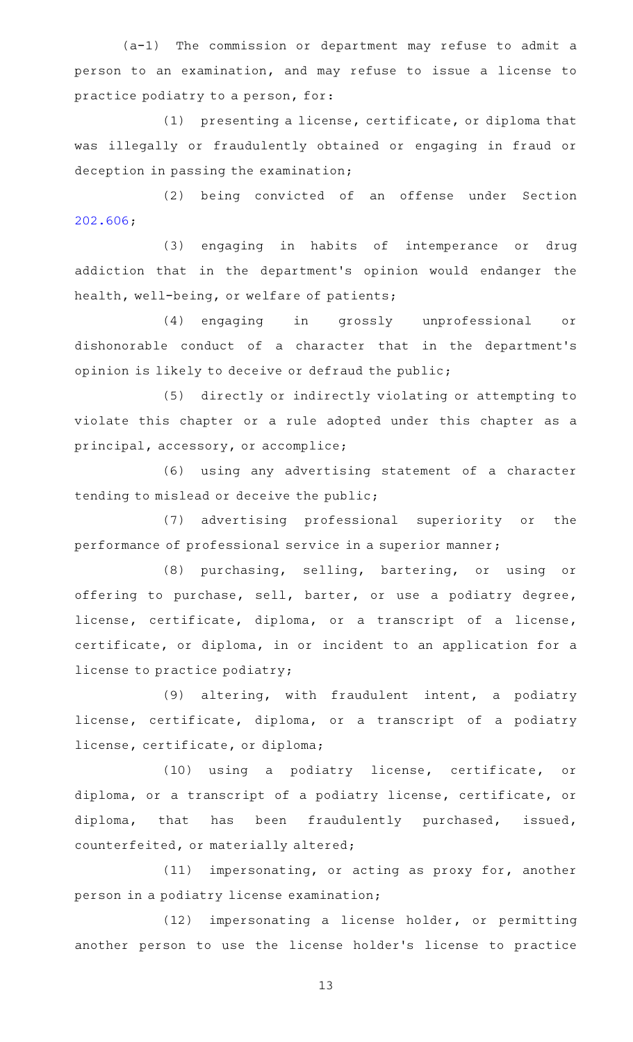$(a-1)$  The commission or department may refuse to admit a person to an examination, and may refuse to issue a license to practice podiatry to a person, for:

 $(1)$  presenting a license, certificate, or diploma that was illegally or fraudulently obtained or engaging in fraud or deception in passing the examination;

(2) being convicted of an offense under Section [202.606;](http://www.statutes.legis.state.tx.us/GetStatute.aspx?Code=OC&Value=202.606)

(3) engaging in habits of intemperance or drug addiction that in the department 's opinion would endanger the health, well-being, or welfare of patients;

(4) engaging in grossly unprofessional or dishonorable conduct of a character that in the department 's opinion is likely to deceive or defraud the public;

(5) directly or indirectly violating or attempting to violate this chapter or a rule adopted under this chapter as a principal, accessory, or accomplice;

(6) using any advertising statement of a character tending to mislead or deceive the public;

(7) advertising professional superiority or the performance of professional service in a superior manner;

(8) purchasing, selling, bartering, or using or offering to purchase, sell, barter, or use a podiatry degree, license, certificate, diploma, or a transcript of a license, certificate, or diploma, in or incident to an application for a license to practice podiatry;

(9) altering, with fraudulent intent, a podiatry license, certificate, diploma, or a transcript of a podiatry license, certificate, or diploma;

 $(10)$  using a podiatry license, certificate, or diploma, or a transcript of a podiatry license, certificate, or diploma, that has been fraudulently purchased, issued, counterfeited, or materially altered;

 $(11)$  impersonating, or acting as proxy for, another person in a podiatry license examination;

(12) impersonating a license holder, or permitting another person to use the license holder 's license to practice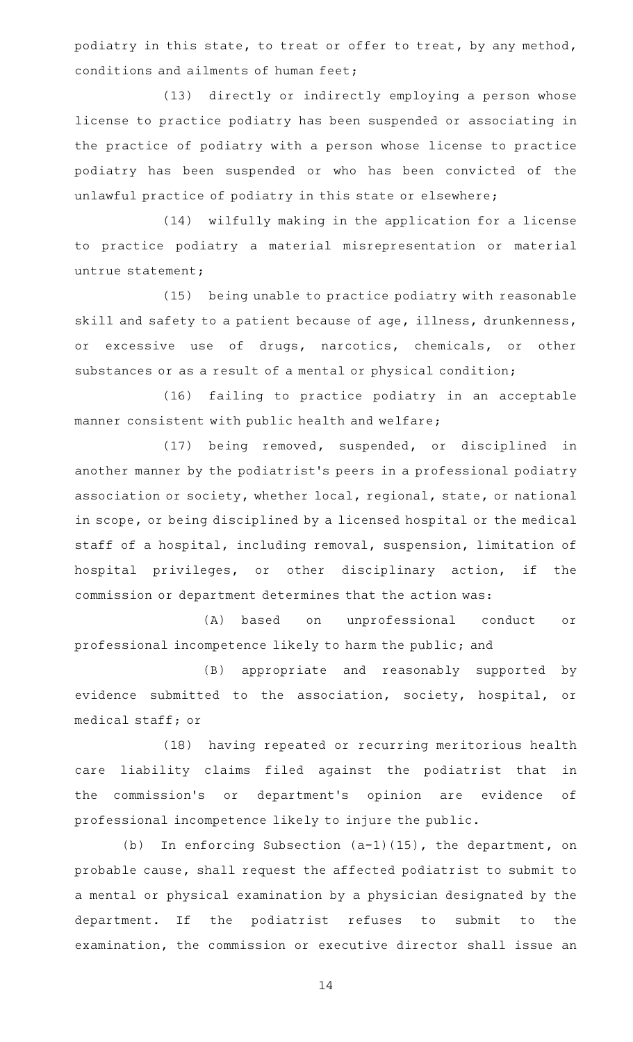podiatry in this state, to treat or offer to treat, by any method, conditions and ailments of human feet;

(13) directly or indirectly employing a person whose license to practice podiatry has been suspended or associating in the practice of podiatry with a person whose license to practice podiatry has been suspended or who has been convicted of the unlawful practice of podiatry in this state or elsewhere;

(14) wilfully making in the application for a license to practice podiatry a material misrepresentation or material untrue statement;

(15) being unable to practice podiatry with reasonable skill and safety to a patient because of age, illness, drunkenness, or excessive use of drugs, narcotics, chemicals, or other substances or as a result of a mental or physical condition;

(16) failing to practice podiatry in an acceptable manner consistent with public health and welfare;

(17) being removed, suspended, or disciplined in another manner by the podiatrist 's peers in a professional podiatry association or society, whether local, regional, state, or national in scope, or being disciplined by a licensed hospital or the medical staff of a hospital, including removal, suspension, limitation of hospital privileges, or other disciplinary action, if the commission or department determines that the action was:

(A) based on unprofessional conduct or professional incompetence likely to harm the public; and

(B) appropriate and reasonably supported by evidence submitted to the association, society, hospital, or medical staff; or

(18) having repeated or recurring meritorious health care liability claims filed against the podiatrist that in the commission's or department's opinion are evidence of professional incompetence likely to injure the public.

(b) In enforcing Subsection  $(a-1)(15)$ , the department, on probable cause, shall request the affected podiatrist to submit to a mental or physical examination by a physician designated by the department. If the podiatrist refuses to submit to the examination, the commission or executive director shall issue an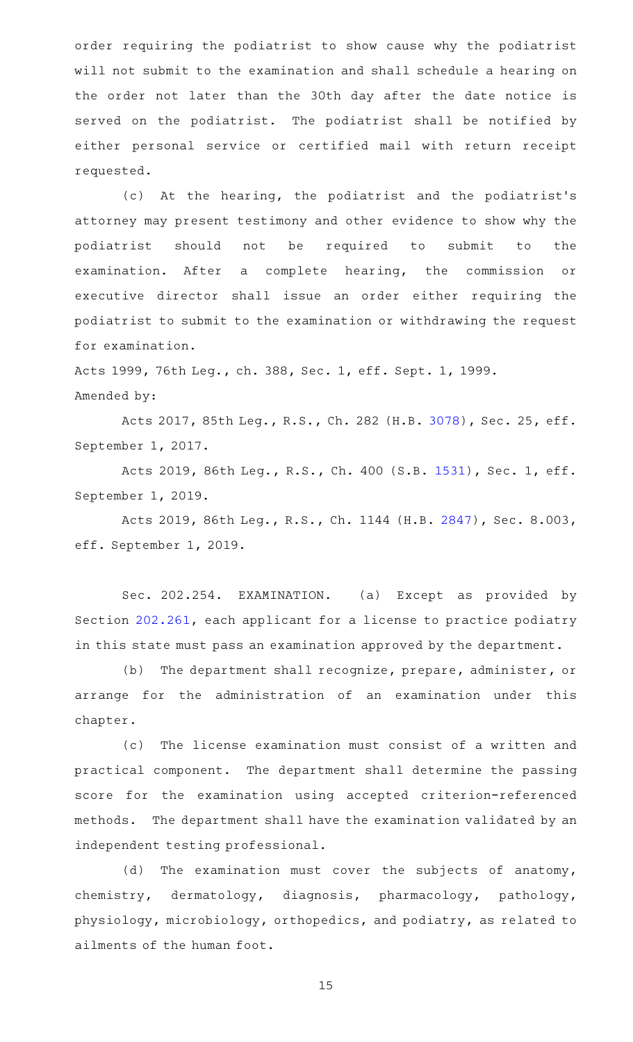order requiring the podiatrist to show cause why the podiatrist will not submit to the examination and shall schedule a hearing on the order not later than the 30th day after the date notice is served on the podiatrist. The podiatrist shall be notified by either personal service or certified mail with return receipt requested.

(c) At the hearing, the podiatrist and the podiatrist's attorney may present testimony and other evidence to show why the podiatrist should not be required to submit to the examination. After a complete hearing, the commission or executive director shall issue an order either requiring the podiatrist to submit to the examination or withdrawing the request for examination.

Acts 1999, 76th Leg., ch. 388, Sec. 1, eff. Sept. 1, 1999. Amended by:

Acts 2017, 85th Leg., R.S., Ch. 282 (H.B. [3078\)](http://www.legis.state.tx.us/tlodocs/85R/billtext/html/HB03078F.HTM), Sec. 25, eff. September 1, 2017.

Acts 2019, 86th Leg., R.S., Ch. 400 (S.B. [1531](http://www.legis.state.tx.us/tlodocs/86R/billtext/html/SB01531F.HTM)), Sec. 1, eff. September 1, 2019.

Acts 2019, 86th Leg., R.S., Ch. 1144 (H.B. [2847](http://www.legis.state.tx.us/tlodocs/86R/billtext/html/HB02847F.HTM)), Sec. 8.003, eff. September 1, 2019.

Sec. 202.254. EXAMINATION. (a) Except as provided by Section [202.261,](http://www.statutes.legis.state.tx.us/GetStatute.aspx?Code=OC&Value=202.261) each applicant for a license to practice podiatry in this state must pass an examination approved by the department.

(b) The department shall recognize, prepare, administer, or arrange for the administration of an examination under this chapter.

(c) The license examination must consist of a written and practical component. The department shall determine the passing score for the examination using accepted criterion-referenced methods. The department shall have the examination validated by an independent testing professional.

(d) The examination must cover the subjects of anatomy, chemistry, dermatology, diagnosis, pharmacology, pathology, physiology, microbiology, orthopedics, and podiatry, as related to ailments of the human foot.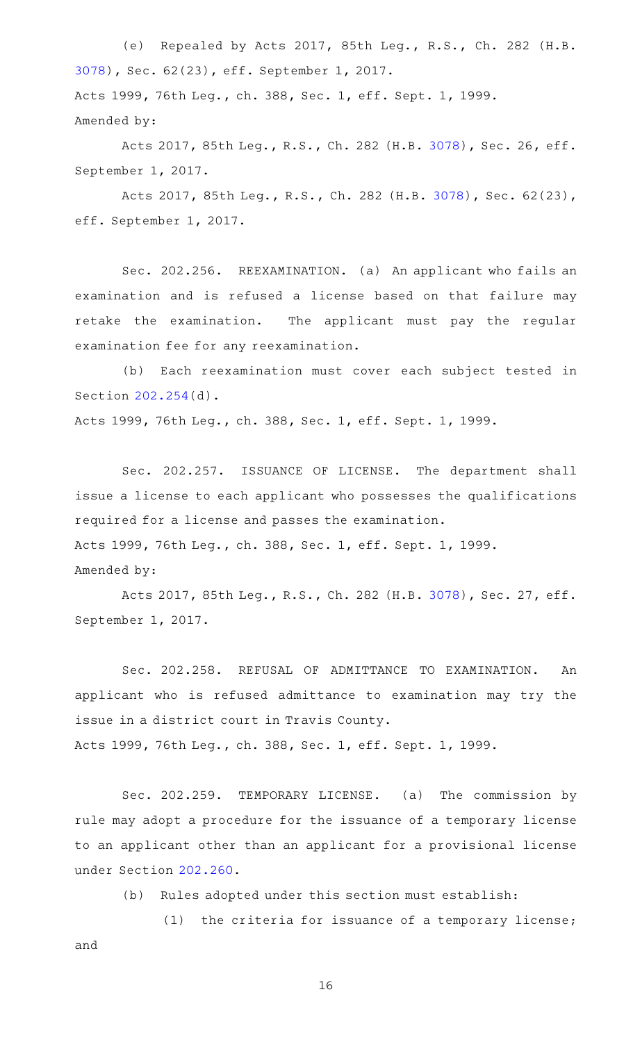(e) Repealed by Acts 2017, 85th Leg., R.S., Ch. 282 (H.B. [3078](http://www.legis.state.tx.us/tlodocs/85R/billtext/html/HB03078F.HTM)), Sec. 62(23), eff. September 1, 2017. Acts 1999, 76th Leg., ch. 388, Sec. 1, eff. Sept. 1, 1999. Amended by:

Acts 2017, 85th Leg., R.S., Ch. 282 (H.B. [3078\)](http://www.legis.state.tx.us/tlodocs/85R/billtext/html/HB03078F.HTM), Sec. 26, eff. September 1, 2017.

Acts 2017, 85th Leg., R.S., Ch. 282 (H.B. [3078\)](http://www.legis.state.tx.us/tlodocs/85R/billtext/html/HB03078F.HTM), Sec. 62(23), eff. September 1, 2017.

Sec. 202.256. REEXAMINATION. (a) An applicant who fails an examination and is refused a license based on that failure may retake the examination. The applicant must pay the regular examination fee for any reexamination.

(b) Each reexamination must cover each subject tested in Section [202.254\(](http://www.statutes.legis.state.tx.us/GetStatute.aspx?Code=OC&Value=202.254)d).

Acts 1999, 76th Leg., ch. 388, Sec. 1, eff. Sept. 1, 1999.

Sec. 202.257. ISSUANCE OF LICENSE. The department shall issue a license to each applicant who possesses the qualifications required for a license and passes the examination. Acts 1999, 76th Leg., ch. 388, Sec. 1, eff. Sept. 1, 1999. Amended by:

Acts 2017, 85th Leg., R.S., Ch. 282 (H.B. [3078\)](http://www.legis.state.tx.us/tlodocs/85R/billtext/html/HB03078F.HTM), Sec. 27, eff. September 1, 2017.

Sec. 202.258. REFUSAL OF ADMITTANCE TO EXAMINATION. An applicant who is refused admittance to examination may try the issue in a district court in Travis County. Acts 1999, 76th Leg., ch. 388, Sec. 1, eff. Sept. 1, 1999.

Sec. 202.259. TEMPORARY LICENSE. (a) The commission by rule may adopt a procedure for the issuance of a temporary license to an applicant other than an applicant for a provisional license under Section [202.260](http://www.statutes.legis.state.tx.us/GetStatute.aspx?Code=OC&Value=202.260).

(b) Rules adopted under this section must establish:

(1) the criteria for issuance of a temporary license; and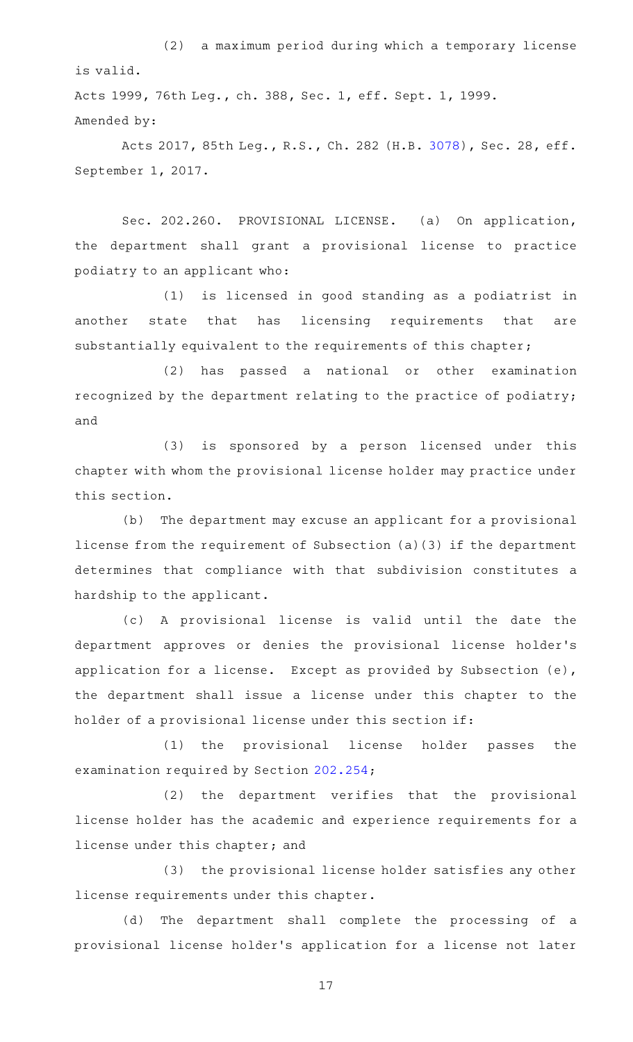(2) a maximum period during which a temporary license is valid.

Acts 1999, 76th Leg., ch. 388, Sec. 1, eff. Sept. 1, 1999. Amended by:

Acts 2017, 85th Leg., R.S., Ch. 282 (H.B. [3078\)](http://www.legis.state.tx.us/tlodocs/85R/billtext/html/HB03078F.HTM), Sec. 28, eff. September 1, 2017.

Sec. 202.260. PROVISIONAL LICENSE. (a) On application, the department shall grant a provisional license to practice podiatry to an applicant who:

(1) is licensed in good standing as a podiatrist in another state that has licensing requirements that are substantially equivalent to the requirements of this chapter;

(2) has passed a national or other examination recognized by the department relating to the practice of podiatry; and

(3) is sponsored by a person licensed under this chapter with whom the provisional license holder may practice under this section.

(b) The department may excuse an applicant for a provisional license from the requirement of Subsection (a)(3) if the department determines that compliance with that subdivision constitutes a hardship to the applicant.

(c)AAA provisional license is valid until the date the department approves or denies the provisional license holder 's application for a license. Except as provided by Subsection (e), the department shall issue a license under this chapter to the holder of a provisional license under this section if:

(1) the provisional license holder passes the examination required by Section [202.254](http://www.statutes.legis.state.tx.us/GetStatute.aspx?Code=OC&Value=202.254);

(2) the department verifies that the provisional license holder has the academic and experience requirements for a license under this chapter; and

(3) the provisional license holder satisfies any other license requirements under this chapter.

(d) The department shall complete the processing of a provisional license holder 's application for a license not later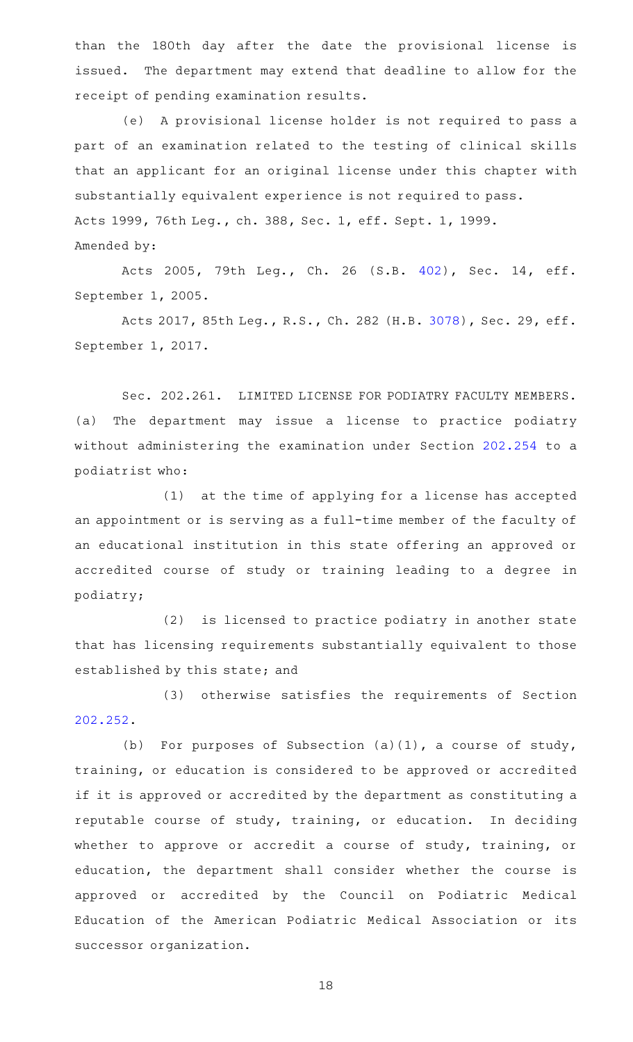than the 180th day after the date the provisional license is issued. The department may extend that deadline to allow for the receipt of pending examination results.

(e) A provisional license holder is not required to pass a part of an examination related to the testing of clinical skills that an applicant for an original license under this chapter with substantially equivalent experience is not required to pass. Acts 1999, 76th Leg., ch. 388, Sec. 1, eff. Sept. 1, 1999. Amended by:

Acts 2005, 79th Leg., Ch. 26 (S.B. [402](http://www.legis.state.tx.us/tlodocs/79R/billtext/html/SB00402F.HTM)), Sec. 14, eff. September 1, 2005.

Acts 2017, 85th Leg., R.S., Ch. 282 (H.B. [3078\)](http://www.legis.state.tx.us/tlodocs/85R/billtext/html/HB03078F.HTM), Sec. 29, eff. September 1, 2017.

Sec. 202.261. LIMITED LICENSE FOR PODIATRY FACULTY MEMBERS. (a) The department may issue a license to practice podiatry without administering the examination under Section [202.254](http://www.statutes.legis.state.tx.us/GetStatute.aspx?Code=OC&Value=202.254) to a podiatrist who:

 $(1)$  at the time of applying for a license has accepted an appointment or is serving as a full-time member of the faculty of an educational institution in this state offering an approved or accredited course of study or training leading to a degree in podiatry;

(2) is licensed to practice podiatry in another state that has licensing requirements substantially equivalent to those established by this state; and

(3) otherwise satisfies the requirements of Section [202.252.](http://www.statutes.legis.state.tx.us/GetStatute.aspx?Code=OC&Value=202.252)

(b) For purposes of Subsection  $(a)(1)$ , a course of study, training, or education is considered to be approved or accredited if it is approved or accredited by the department as constituting a reputable course of study, training, or education. In deciding whether to approve or accredit a course of study, training, or education, the department shall consider whether the course is approved or accredited by the Council on Podiatric Medical Education of the American Podiatric Medical Association or its successor organization.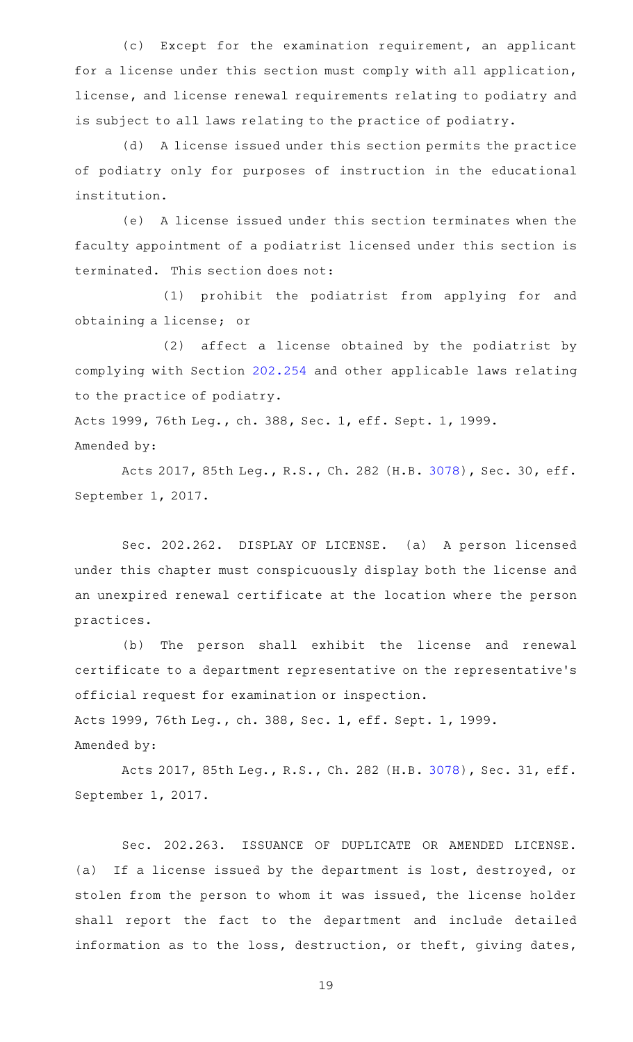(c) Except for the examination requirement, an applicant for a license under this section must comply with all application, license, and license renewal requirements relating to podiatry and is subject to all laws relating to the practice of podiatry.

(d) A license issued under this section permits the practice of podiatry only for purposes of instruction in the educational institution.

(e) A license issued under this section terminates when the faculty appointment of a podiatrist licensed under this section is terminated. This section does not:

(1) prohibit the podiatrist from applying for and obtaining a license; or

 $(2)$  affect a license obtained by the podiatrist by complying with Section [202.254](http://www.statutes.legis.state.tx.us/GetStatute.aspx?Code=OC&Value=202.254) and other applicable laws relating to the practice of podiatry.

Acts 1999, 76th Leg., ch. 388, Sec. 1, eff. Sept. 1, 1999. Amended by:

Acts 2017, 85th Leg., R.S., Ch. 282 (H.B. [3078\)](http://www.legis.state.tx.us/tlodocs/85R/billtext/html/HB03078F.HTM), Sec. 30, eff. September 1, 2017.

Sec. 202.262. DISPLAY OF LICENSE. (a) A person licensed under this chapter must conspicuously display both the license and an unexpired renewal certificate at the location where the person practices.

(b) The person shall exhibit the license and renewal certificate to a department representative on the representative 's official request for examination or inspection. Acts 1999, 76th Leg., ch. 388, Sec. 1, eff. Sept. 1, 1999.

Acts 2017, 85th Leg., R.S., Ch. 282 (H.B. [3078\)](http://www.legis.state.tx.us/tlodocs/85R/billtext/html/HB03078F.HTM), Sec. 31, eff. September 1, 2017.

Amended by:

Sec. 202.263. ISSUANCE OF DUPLICATE OR AMENDED LICENSE. (a) If a license issued by the department is lost, destroyed, or stolen from the person to whom it was issued, the license holder shall report the fact to the department and include detailed information as to the loss, destruction, or theft, giving dates,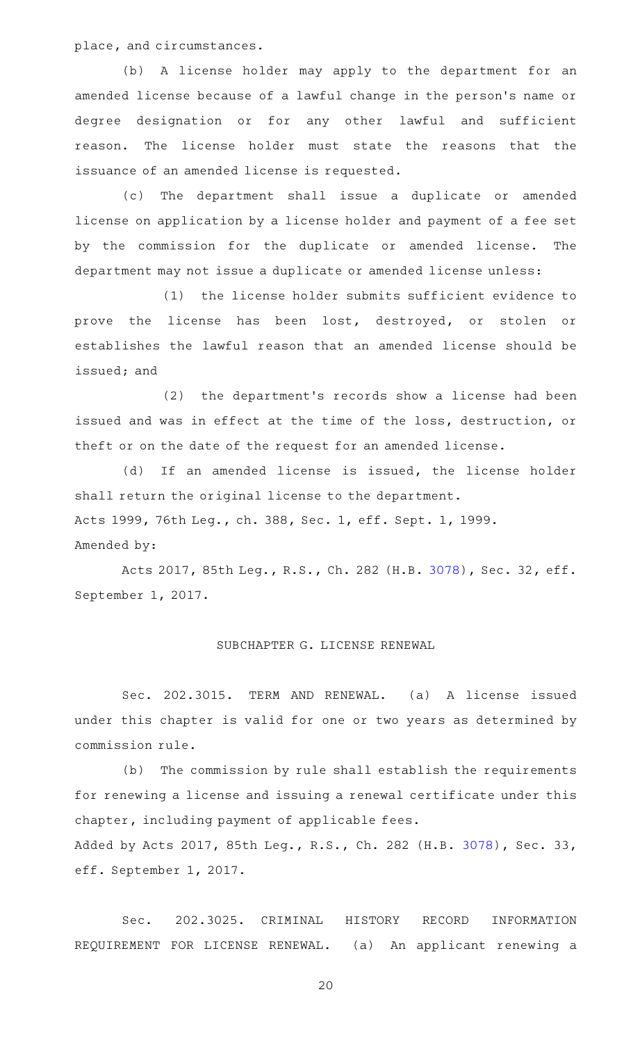place, and circumstances.

(b) A license holder may apply to the department for an amended license because of a lawful change in the person 's name or degree designation or for any other lawful and sufficient reason. The license holder must state the reasons that the issuance of an amended license is requested.

(c) The department shall issue a duplicate or amended license on application by a license holder and payment of a fee set by the commission for the duplicate or amended license. The department may not issue a duplicate or amended license unless:

(1) the license holder submits sufficient evidence to prove the license has been lost, destroyed, or stolen or establishes the lawful reason that an amended license should be issued; and

(2) the department's records show a license had been issued and was in effect at the time of the loss, destruction, or theft or on the date of the request for an amended license.

(d) If an amended license is issued, the license holder shall return the original license to the department. Acts 1999, 76th Leg., ch. 388, Sec. 1, eff. Sept. 1, 1999.

#### Amended by:

Acts 2017, 85th Leg., R.S., Ch. 282 (H.B. [3078\)](http://www.legis.state.tx.us/tlodocs/85R/billtext/html/HB03078F.HTM), Sec. 32, eff. September 1, 2017.

### SUBCHAPTER G. LICENSE RENEWAL

Sec. 202.3015. TERM AND RENEWAL. (a) A license issued under this chapter is valid for one or two years as determined by commission rule.

(b) The commission by rule shall establish the requirements for renewing a license and issuing a renewal certificate under this chapter, including payment of applicable fees.

Added by Acts 2017, 85th Leg., R.S., Ch. 282 (H.B. [3078\)](http://www.legis.state.tx.us/tlodocs/85R/billtext/html/HB03078F.HTM), Sec. 33, eff. September 1, 2017.

Sec. 202.3025. CRIMINAL HISTORY RECORD INFORMATION REQUIREMENT FOR LICENSE RENEWAL. (a) An applicant renewing a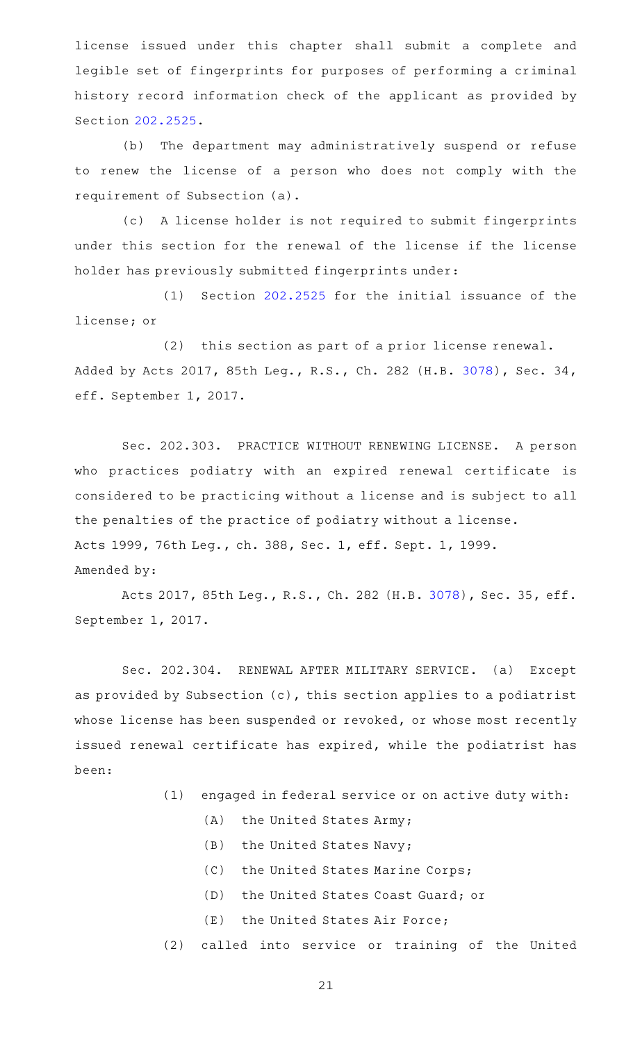license issued under this chapter shall submit a complete and legible set of fingerprints for purposes of performing a criminal history record information check of the applicant as provided by Section [202.2525](http://www.statutes.legis.state.tx.us/GetStatute.aspx?Code=OC&Value=202.2525).

(b) The department may administratively suspend or refuse to renew the license of a person who does not comply with the requirement of Subsection (a).

(c) A license holder is not required to submit fingerprints under this section for the renewal of the license if the license holder has previously submitted fingerprints under:

 $(1)$  Section [202.2525](http://www.statutes.legis.state.tx.us/GetStatute.aspx?Code=OC&Value=202.2525) for the initial issuance of the license; or

(2) this section as part of a prior license renewal. Added by Acts 2017, 85th Leg., R.S., Ch. 282 (H.B. [3078\)](http://www.legis.state.tx.us/tlodocs/85R/billtext/html/HB03078F.HTM), Sec. 34, eff. September 1, 2017.

Sec. 202.303. PRACTICE WITHOUT RENEWING LICENSE. A person who practices podiatry with an expired renewal certificate is considered to be practicing without a license and is subject to all the penalties of the practice of podiatry without a license. Acts 1999, 76th Leg., ch. 388, Sec. 1, eff. Sept. 1, 1999. Amended by:

Acts 2017, 85th Leg., R.S., Ch. 282 (H.B. [3078\)](http://www.legis.state.tx.us/tlodocs/85R/billtext/html/HB03078F.HTM), Sec. 35, eff. September 1, 2017.

Sec. 202.304. RENEWAL AFTER MILITARY SERVICE. (a) Except as provided by Subsection (c), this section applies to a podiatrist whose license has been suspended or revoked, or whose most recently issued renewal certificate has expired, while the podiatrist has been:

- $(1)$  engaged in federal service or on active duty with:
	- (A) the United States Army;
	- (B) the United States Navy;
	- (C) the United States Marine Corps;
	- (D) the United States Coast Guard; or
	- $(E)$  the United States Air Force;
- (2) called into service or training of the United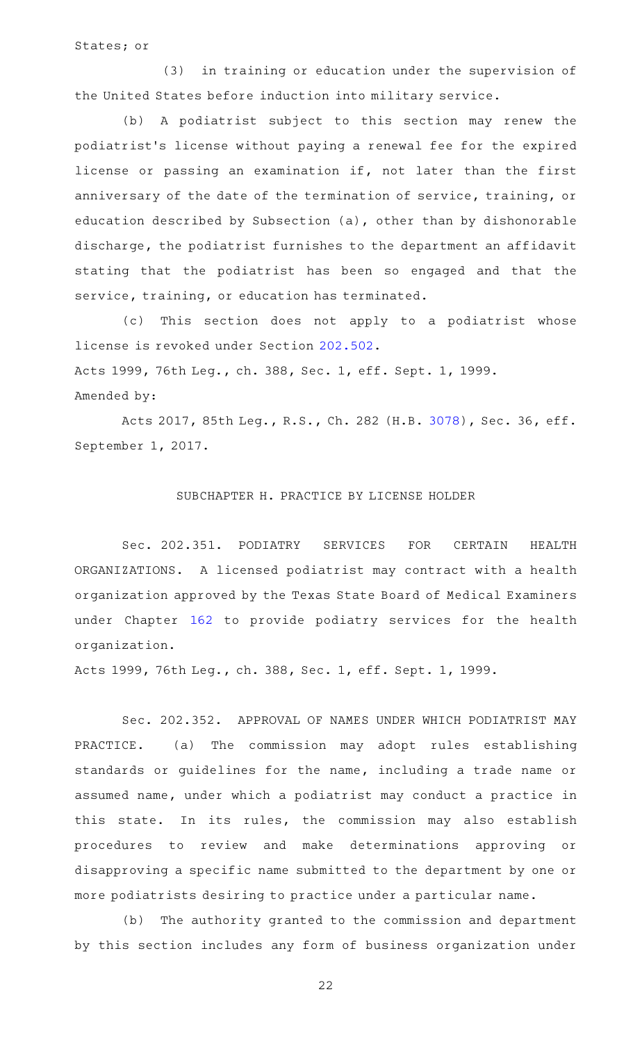States; or

(3) in training or education under the supervision of the United States before induction into military service.

(b) A podiatrist subject to this section may renew the podiatrist 's license without paying a renewal fee for the expired license or passing an examination if, not later than the first anniversary of the date of the termination of service, training, or education described by Subsection (a), other than by dishonorable discharge, the podiatrist furnishes to the department an affidavit stating that the podiatrist has been so engaged and that the service, training, or education has terminated.

(c) This section does not apply to a podiatrist whose license is revoked under Section [202.502](http://www.statutes.legis.state.tx.us/GetStatute.aspx?Code=OC&Value=202.502). Acts 1999, 76th Leg., ch. 388, Sec. 1, eff. Sept. 1, 1999. Amended by:

Acts 2017, 85th Leg., R.S., Ch. 282 (H.B. [3078\)](http://www.legis.state.tx.us/tlodocs/85R/billtext/html/HB03078F.HTM), Sec. 36, eff. September 1, 2017.

## SUBCHAPTER H. PRACTICE BY LICENSE HOLDER

Sec. 202.351. PODIATRY SERVICES FOR CERTAIN HEALTH ORGANIZATIONS. A licensed podiatrist may contract with a health organization approved by the Texas State Board of Medical Examiners under Chapter [162](http://www.statutes.legis.state.tx.us/GetStatute.aspx?Code=OC&Value=162) to provide podiatry services for the health organization.

Acts 1999, 76th Leg., ch. 388, Sec. 1, eff. Sept. 1, 1999.

Sec. 202.352. APPROVAL OF NAMES UNDER WHICH PODIATRIST MAY PRACTICE. (a) The commission may adopt rules establishing standards or guidelines for the name, including a trade name or assumed name, under which a podiatrist may conduct a practice in this state. In its rules, the commission may also establish procedures to review and make determinations approving or disapproving a specific name submitted to the department by one or more podiatrists desiring to practice under a particular name.

(b) The authority granted to the commission and department by this section includes any form of business organization under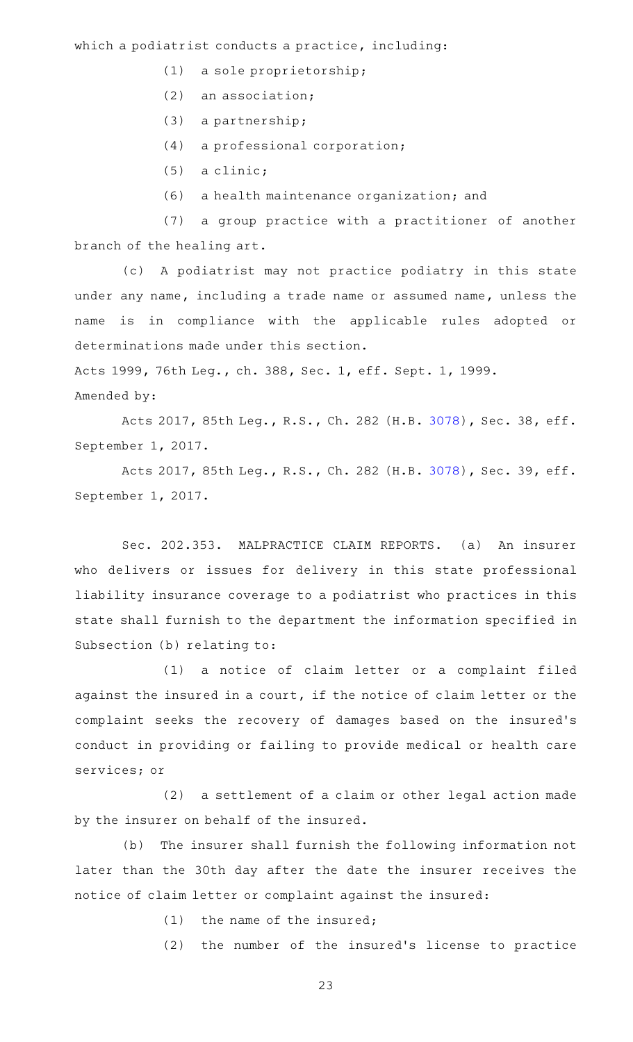which a podiatrist conducts a practice, including:

- $(1)$  a sole proprietorship;
- $(2)$  an association;
- $(3)$  a partnership;
- $(4)$  a professional corporation;
- $(5)$  a clinic;
- (6) a health maintenance organization; and

(7) a group practice with a practitioner of another branch of the healing art.

(c)AAA podiatrist may not practice podiatry in this state under any name, including a trade name or assumed name, unless the name is in compliance with the applicable rules adopted or determinations made under this section.

Acts 1999, 76th Leg., ch. 388, Sec. 1, eff. Sept. 1, 1999. Amended by:

Acts 2017, 85th Leg., R.S., Ch. 282 (H.B. [3078\)](http://www.legis.state.tx.us/tlodocs/85R/billtext/html/HB03078F.HTM), Sec. 38, eff. September 1, 2017.

Acts 2017, 85th Leg., R.S., Ch. 282 (H.B. [3078\)](http://www.legis.state.tx.us/tlodocs/85R/billtext/html/HB03078F.HTM), Sec. 39, eff. September 1, 2017.

Sec. 202.353. MALPRACTICE CLAIM REPORTS. (a) An insurer who delivers or issues for delivery in this state professional liability insurance coverage to a podiatrist who practices in this state shall furnish to the department the information specified in Subsection (b) relating to:

(1) a notice of claim letter or a complaint filed against the insured in a court, if the notice of claim letter or the complaint seeks the recovery of damages based on the insured 's conduct in providing or failing to provide medical or health care services; or

 $(2)$  a settlement of a claim or other legal action made by the insurer on behalf of the insured.

(b) The insurer shall furnish the following information not later than the 30th day after the date the insurer receives the notice of claim letter or complaint against the insured:

 $(1)$  the name of the insured;

(2) the number of the insured's license to practice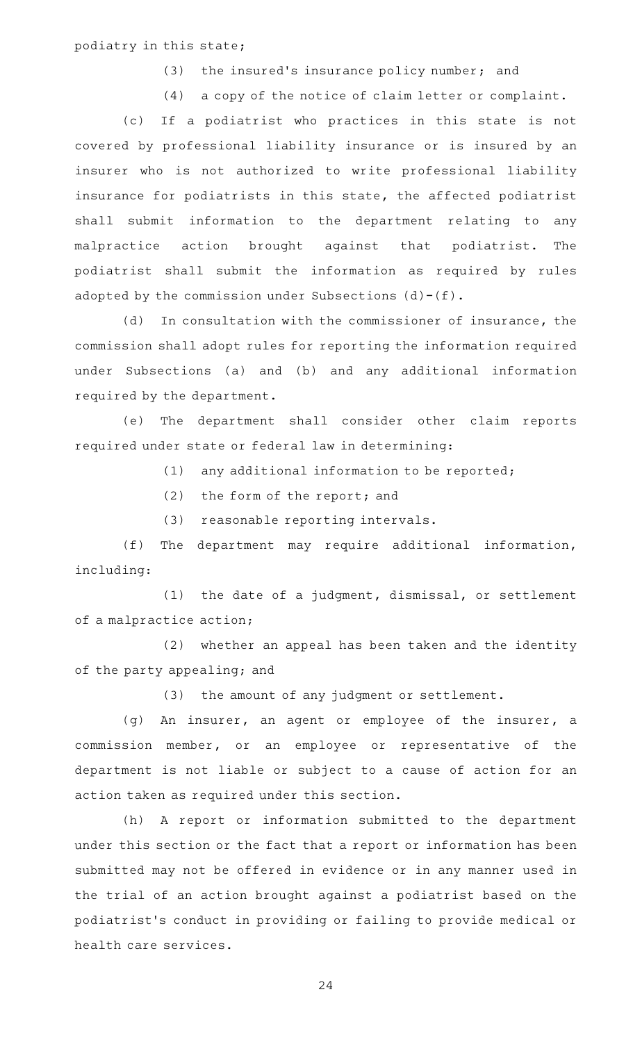podiatry in this state;

(3) the insured's insurance policy number; and

(4) a copy of the notice of claim letter or complaint.

(c) If a podiatrist who practices in this state is not covered by professional liability insurance or is insured by an insurer who is not authorized to write professional liability insurance for podiatrists in this state, the affected podiatrist shall submit information to the department relating to any malpractice action brought against that podiatrist. The podiatrist shall submit the information as required by rules adopted by the commission under Subsections  $(d)-(f)$ .

(d) In consultation with the commissioner of insurance, the commission shall adopt rules for reporting the information required under Subsections (a) and (b) and any additional information required by the department.

(e) The department shall consider other claim reports required under state or federal law in determining:

 $(1)$  any additional information to be reported;

- $(2)$  the form of the report; and
- (3) reasonable reporting intervals.

(f) The department may require additional information, including:

 $(1)$  the date of a judgment, dismissal, or settlement of a malpractice action;

(2) whether an appeal has been taken and the identity of the party appealing; and

(3) the amount of any judgment or settlement.

(g) An insurer, an agent or employee of the insurer, a commission member, or an employee or representative of the department is not liable or subject to a cause of action for an action taken as required under this section.

(h) A report or information submitted to the department under this section or the fact that a report or information has been submitted may not be offered in evidence or in any manner used in the trial of an action brought against a podiatrist based on the podiatrist 's conduct in providing or failing to provide medical or health care services.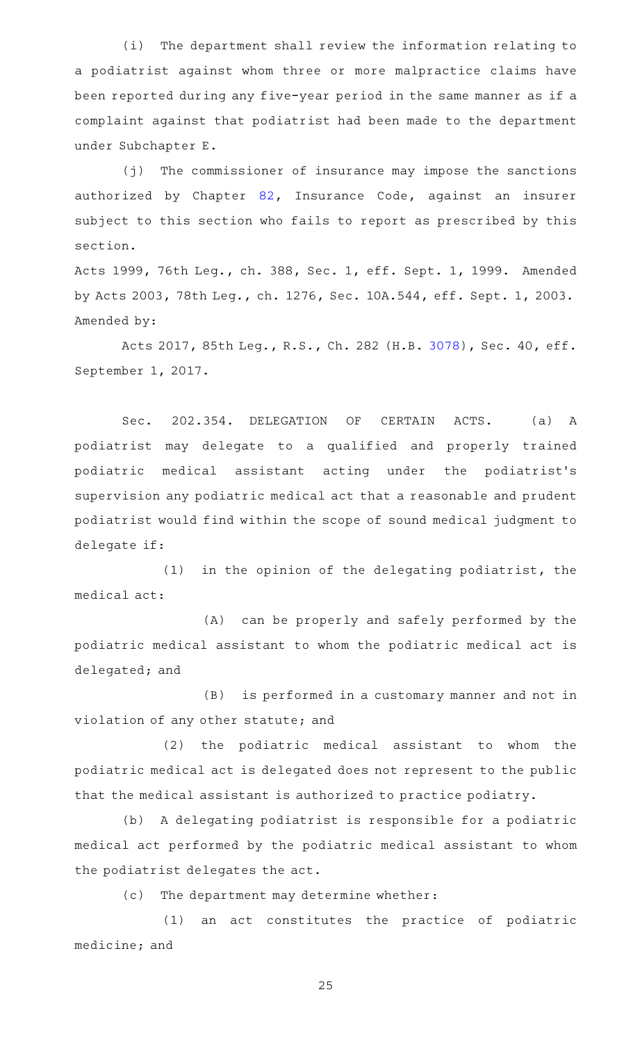(i) The department shall review the information relating to a podiatrist against whom three or more malpractice claims have been reported during any five-year period in the same manner as if a complaint against that podiatrist had been made to the department under Subchapter E.

(j) The commissioner of insurance may impose the sanctions authorized by Chapter [82,](http://www.statutes.legis.state.tx.us/GetStatute.aspx?Code=IN&Value=82) Insurance Code, against an insurer subject to this section who fails to report as prescribed by this section.

Acts 1999, 76th Leg., ch. 388, Sec. 1, eff. Sept. 1, 1999. Amended by Acts 2003, 78th Leg., ch. 1276, Sec. 10A.544, eff. Sept. 1, 2003. Amended by:

Acts 2017, 85th Leg., R.S., Ch. 282 (H.B. [3078\)](http://www.legis.state.tx.us/tlodocs/85R/billtext/html/HB03078F.HTM), Sec. 40, eff. September 1, 2017.

Sec. 202.354. DELEGATION OF CERTAIN ACTS. (a) A podiatrist may delegate to a qualified and properly trained podiatric medical assistant acting under the podiatrist 's supervision any podiatric medical act that a reasonable and prudent podiatrist would find within the scope of sound medical judgment to delegate if:

 $(1)$  in the opinion of the delegating podiatrist, the medical act:

(A) can be properly and safely performed by the podiatric medical assistant to whom the podiatric medical act is delegated; and

(B) is performed in a customary manner and not in violation of any other statute; and

(2) the podiatric medical assistant to whom the podiatric medical act is delegated does not represent to the public that the medical assistant is authorized to practice podiatry.

(b) A delegating podiatrist is responsible for a podiatric medical act performed by the podiatric medical assistant to whom the podiatrist delegates the act.

(c) The department may determine whether:

 $(1)$  an act constitutes the practice of podiatric medicine; and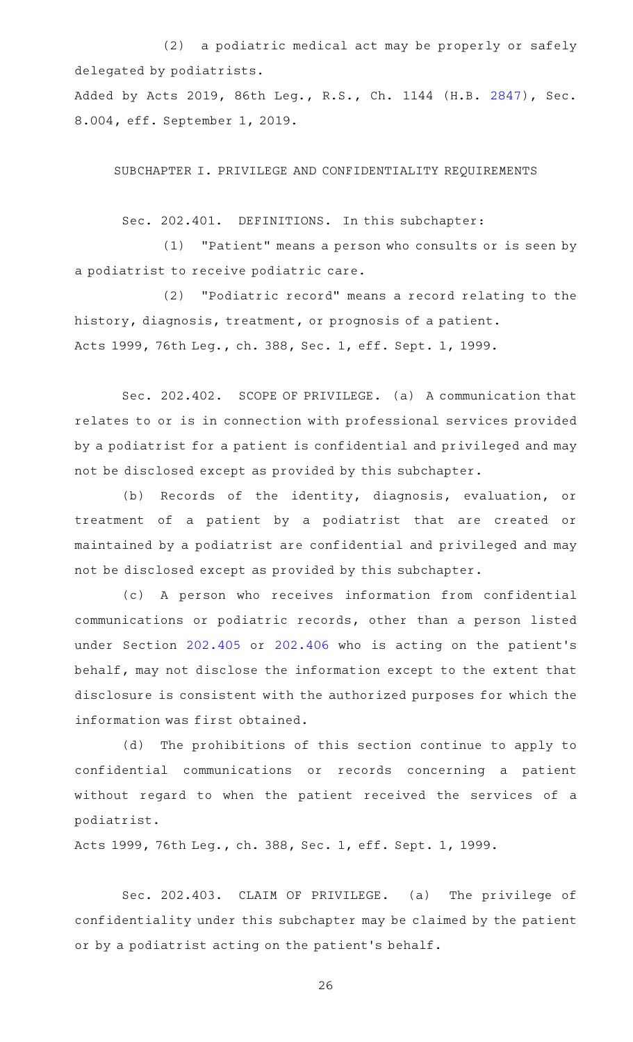(2) a podiatric medical act may be properly or safely delegated by podiatrists.

Added by Acts 2019, 86th Leg., R.S., Ch. 1144 (H.B. [2847](http://www.legis.state.tx.us/tlodocs/86R/billtext/html/HB02847F.HTM)), Sec. 8.004, eff. September 1, 2019.

SUBCHAPTER I. PRIVILEGE AND CONFIDENTIALITY REQUIREMENTS

Sec. 202.401. DEFINITIONS. In this subchapter:

 $(1)$  "Patient" means a person who consults or is seen by a podiatrist to receive podiatric care.

(2) "Podiatric record" means a record relating to the history, diagnosis, treatment, or prognosis of a patient. Acts 1999, 76th Leg., ch. 388, Sec. 1, eff. Sept. 1, 1999.

Sec. 202.402. SCOPE OF PRIVILEGE. (a) A communication that relates to or is in connection with professional services provided by a podiatrist for a patient is confidential and privileged and may not be disclosed except as provided by this subchapter.

(b) Records of the identity, diagnosis, evaluation, or treatment of a patient by a podiatrist that are created or maintained by a podiatrist are confidential and privileged and may not be disclosed except as provided by this subchapter.

(c)AAA person who receives information from confidential communications or podiatric records, other than a person listed under Section [202.405](http://www.statutes.legis.state.tx.us/GetStatute.aspx?Code=OC&Value=202.405) or [202.406](http://www.statutes.legis.state.tx.us/GetStatute.aspx?Code=OC&Value=202.406) who is acting on the patient 's behalf, may not disclose the information except to the extent that disclosure is consistent with the authorized purposes for which the information was first obtained.

(d) The prohibitions of this section continue to apply to confidential communications or records concerning a patient without regard to when the patient received the services of a podiatrist.

Acts 1999, 76th Leg., ch. 388, Sec. 1, eff. Sept. 1, 1999.

Sec. 202.403. CLAIM OF PRIVILEGE. (a) The privilege of confidentiality under this subchapter may be claimed by the patient or by a podiatrist acting on the patient 's behalf.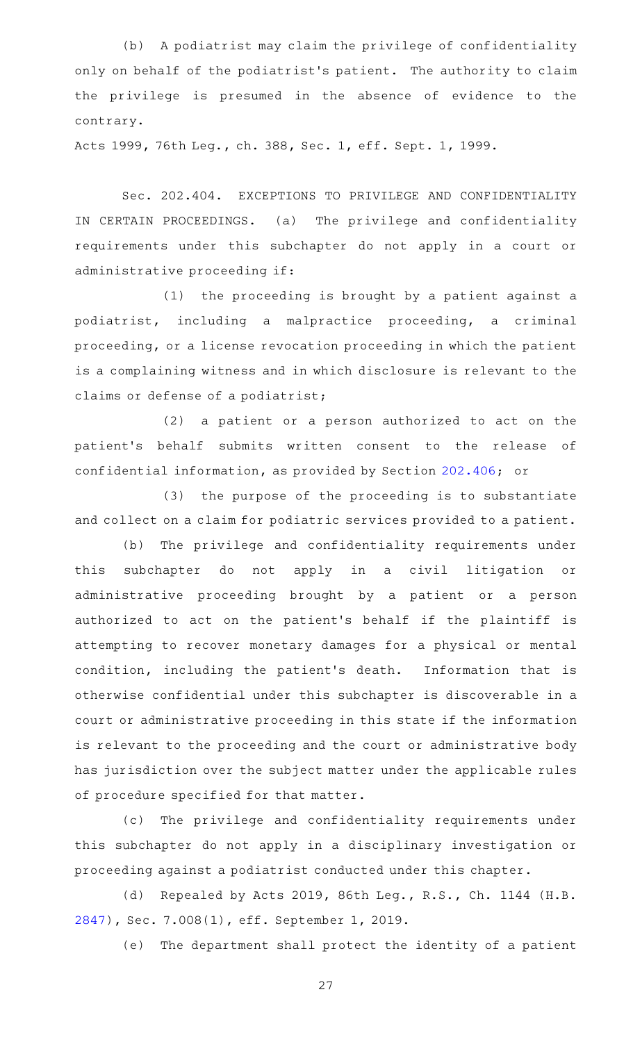(b) A podiatrist may claim the privilege of confidentiality only on behalf of the podiatrist 's patient. The authority to claim the privilege is presumed in the absence of evidence to the contrary.

Acts 1999, 76th Leg., ch. 388, Sec. 1, eff. Sept. 1, 1999.

Sec. 202.404. EXCEPTIONS TO PRIVILEGE AND CONFIDENTIALITY IN CERTAIN PROCEEDINGS. (a) The privilege and confidentiality requirements under this subchapter do not apply in a court or administrative proceeding if:

 $(1)$  the proceeding is brought by a patient against a podiatrist, including a malpractice proceeding, a criminal proceeding, or a license revocation proceeding in which the patient is a complaining witness and in which disclosure is relevant to the claims or defense of a podiatrist;

(2) a patient or a person authorized to act on the patient 's behalf submits written consent to the release of confidential information, as provided by Section [202.406;](http://www.statutes.legis.state.tx.us/GetStatute.aspx?Code=OC&Value=202.406) or

(3) the purpose of the proceeding is to substantiate and collect on a claim for podiatric services provided to a patient.

(b) The privilege and confidentiality requirements under this subchapter do not apply in a civil litigation or administrative proceeding brought by a patient or a person authorized to act on the patient 's behalf if the plaintiff is attempting to recover monetary damages for a physical or mental condition, including the patient's death. Information that is otherwise confidential under this subchapter is discoverable in a court or administrative proceeding in this state if the information is relevant to the proceeding and the court or administrative body has jurisdiction over the subject matter under the applicable rules of procedure specified for that matter.

(c) The privilege and confidentiality requirements under this subchapter do not apply in a disciplinary investigation or proceeding against a podiatrist conducted under this chapter.

(d) Repealed by Acts 2019, 86th Leg., R.S., Ch. 1144 (H.B. [2847](http://www.legis.state.tx.us/tlodocs/86R/billtext/html/HB02847F.HTM)), Sec. 7.008(1), eff. September 1, 2019.

(e) The department shall protect the identity of a patient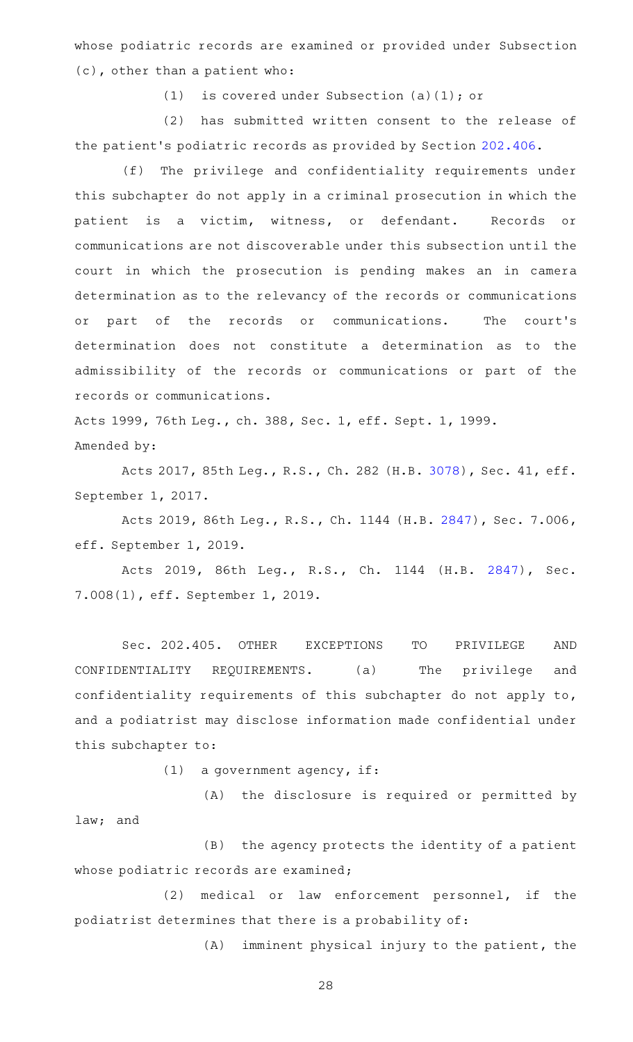whose podiatric records are examined or provided under Subsection (c), other than a patient who:

(1) is covered under Subsection (a)(1); or

(2) has submitted written consent to the release of the patient 's podiatric records as provided by Section [202.406](http://www.statutes.legis.state.tx.us/GetStatute.aspx?Code=OC&Value=202.406).

(f) The privilege and confidentiality requirements under this subchapter do not apply in a criminal prosecution in which the patient is a victim, witness, or defendant. Records or communications are not discoverable under this subsection until the court in which the prosecution is pending makes an in camera determination as to the relevancy of the records or communications or part of the records or communications. The court's determination does not constitute a determination as to the admissibility of the records or communications or part of the records or communications.

Acts 1999, 76th Leg., ch. 388, Sec. 1, eff. Sept. 1, 1999. Amended by:

Acts 2017, 85th Leg., R.S., Ch. 282 (H.B. [3078\)](http://www.legis.state.tx.us/tlodocs/85R/billtext/html/HB03078F.HTM), Sec. 41, eff. September 1, 2017.

Acts 2019, 86th Leg., R.S., Ch. 1144 (H.B. [2847](http://www.legis.state.tx.us/tlodocs/86R/billtext/html/HB02847F.HTM)), Sec. 7.006, eff. September 1, 2019.

Acts 2019, 86th Leg., R.S., Ch. 1144 (H.B. [2847\)](http://www.legis.state.tx.us/tlodocs/86R/billtext/html/HB02847F.HTM), Sec. 7.008(1), eff. September 1, 2019.

Sec. 202.405. OTHER EXCEPTIONS TO PRIVILEGE AND CONFIDENTIALITY REQUIREMENTS. (a) The privilege and confidentiality requirements of this subchapter do not apply to, and a podiatrist may disclose information made confidential under this subchapter to:

 $(1)$  a government agency, if:

(A) the disclosure is required or permitted by law; and

(B) the agency protects the identity of a patient whose podiatric records are examined;

(2) medical or law enforcement personnel, if the podiatrist determines that there is a probability of:

 $(A)$  imminent physical injury to the patient, the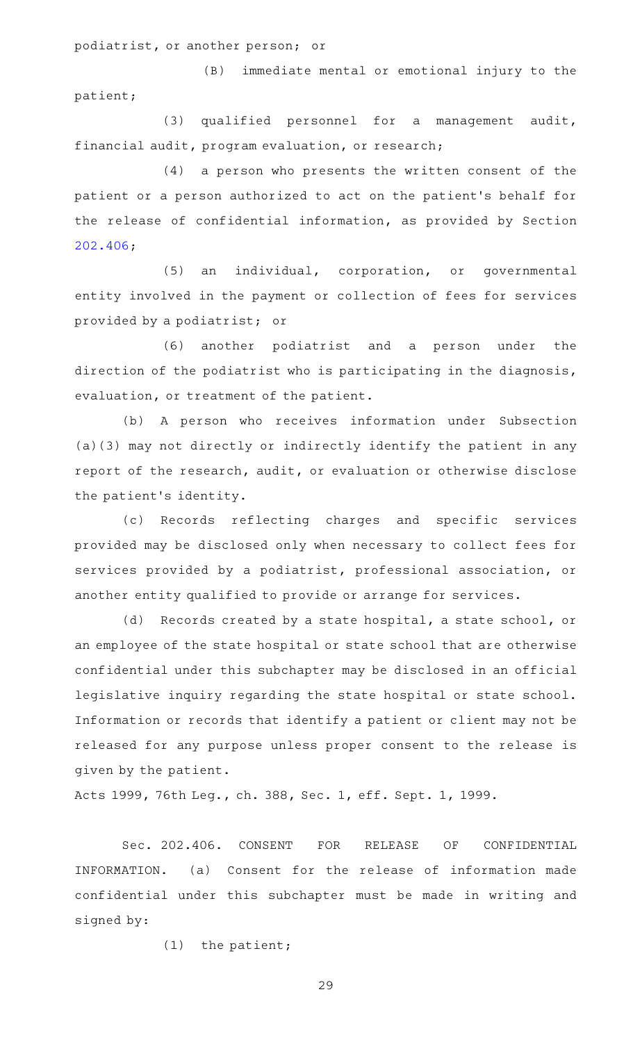podiatrist, or another person; or

(B) immediate mental or emotional injury to the patient;

(3) qualified personnel for a management audit, financial audit, program evaluation, or research;

 $(4)$  a person who presents the written consent of the patient or a person authorized to act on the patient's behalf for the release of confidential information, as provided by Section [202.406;](http://www.statutes.legis.state.tx.us/GetStatute.aspx?Code=OC&Value=202.406)

(5) an individual, corporation, or governmental entity involved in the payment or collection of fees for services provided by a podiatrist; or

(6) another podiatrist and a person under the direction of the podiatrist who is participating in the diagnosis, evaluation, or treatment of the patient.

(b) A person who receives information under Subsection (a)(3) may not directly or indirectly identify the patient in any report of the research, audit, or evaluation or otherwise disclose the patient 's identity.

(c) Records reflecting charges and specific services provided may be disclosed only when necessary to collect fees for services provided by a podiatrist, professional association, or another entity qualified to provide or arrange for services.

(d) Records created by a state hospital, a state school, or an employee of the state hospital or state school that are otherwise confidential under this subchapter may be disclosed in an official legislative inquiry regarding the state hospital or state school. Information or records that identify a patient or client may not be released for any purpose unless proper consent to the release is given by the patient.

Acts 1999, 76th Leg., ch. 388, Sec. 1, eff. Sept. 1, 1999.

Sec. 202.406. CONSENT FOR RELEASE OF CONFIDENTIAL INFORMATION. (a) Consent for the release of information made confidential under this subchapter must be made in writing and signed by:

 $(1)$  the patient;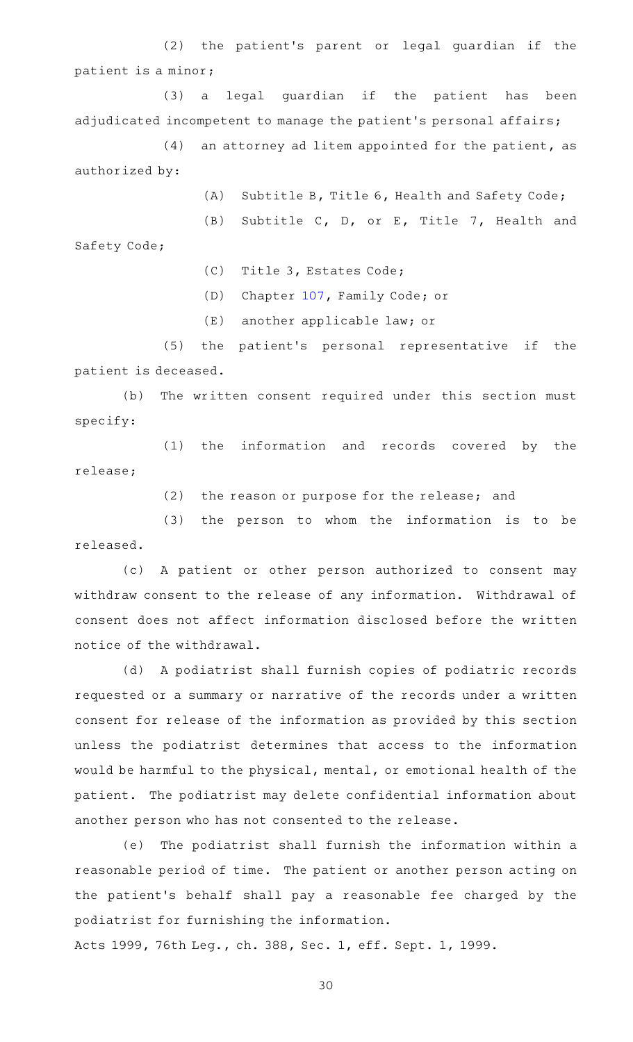(2) the patient's parent or legal guardian if the patient is a minor;

(3) a legal guardian if the patient has been adjudicated incompetent to manage the patient 's personal affairs;

 $(4)$  an attorney ad litem appointed for the patient, as authorized by:

(A) Subtitle B, Title 6, Health and Safety Code;

(B) Subtitle C, D, or E, Title 7, Health and

Safety Code;

(C) Title 3, Estates Code;

(D) Chapter [107,](http://www.statutes.legis.state.tx.us/GetStatute.aspx?Code=FA&Value=107) Family Code; or

(E) another applicable law; or

(5) the patient's personal representative if the patient is deceased.

(b) The written consent required under this section must specify:

(1) the information and records covered by the release;

(2) the reason or purpose for the release; and

 $(3)$  the person to whom the information is to be released.

(c)AAA patient or other person authorized to consent may withdraw consent to the release of any information. Withdrawal of consent does not affect information disclosed before the written notice of the withdrawal.

(d) A podiatrist shall furnish copies of podiatric records requested or a summary or narrative of the records under a written consent for release of the information as provided by this section unless the podiatrist determines that access to the information would be harmful to the physical, mental, or emotional health of the patient. The podiatrist may delete confidential information about another person who has not consented to the release.

(e) The podiatrist shall furnish the information within a reasonable period of time. The patient or another person acting on the patient 's behalf shall pay a reasonable fee charged by the podiatrist for furnishing the information.

Acts 1999, 76th Leg., ch. 388, Sec. 1, eff. Sept. 1, 1999.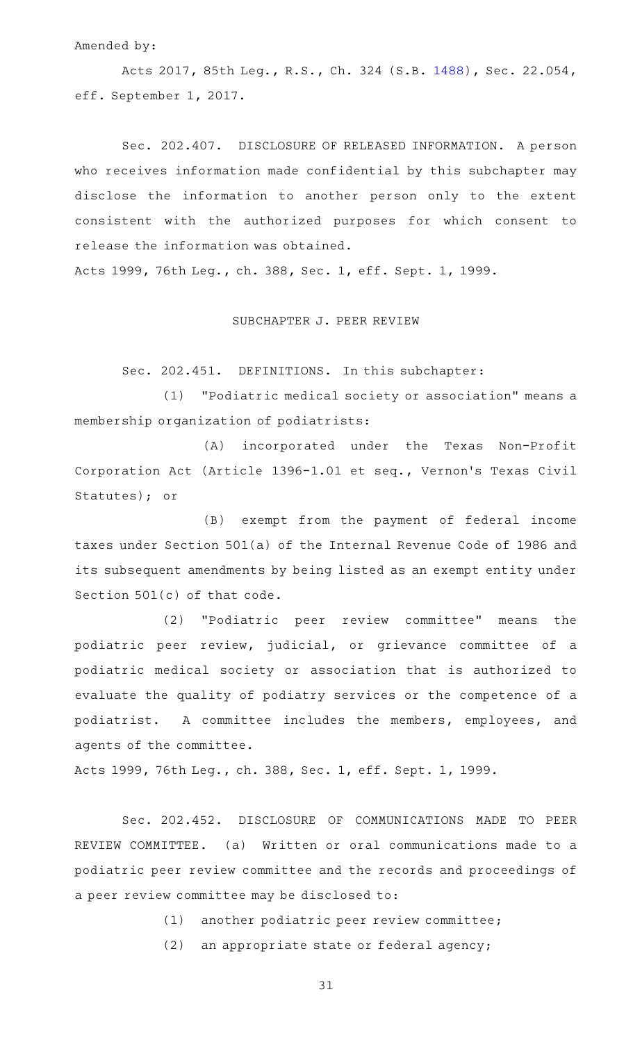#### Amended by:

Acts 2017, 85th Leg., R.S., Ch. 324 (S.B. [1488\)](http://www.legis.state.tx.us/tlodocs/85R/billtext/html/SB01488F.HTM), Sec. 22.054, eff. September 1, 2017.

Sec. 202.407. DISCLOSURE OF RELEASED INFORMATION. A person who receives information made confidential by this subchapter may disclose the information to another person only to the extent consistent with the authorized purposes for which consent to release the information was obtained.

Acts 1999, 76th Leg., ch. 388, Sec. 1, eff. Sept. 1, 1999.

SUBCHAPTER J. PEER REVIEW

Sec. 202.451. DEFINITIONS. In this subchapter:

(1) "Podiatric medical society or association" means a membership organization of podiatrists:

(A) incorporated under the Texas Non-Profit Corporation Act (Article 1396-1.01 et seq., Vernon 's Texas Civil Statutes); or

(B) exempt from the payment of federal income taxes under Section 501(a) of the Internal Revenue Code of 1986 and its subsequent amendments by being listed as an exempt entity under Section 501(c) of that code.

(2) "Podiatric peer review committee" means the podiatric peer review, judicial, or grievance committee of a podiatric medical society or association that is authorized to evaluate the quality of podiatry services or the competence of a podiatrist. A committee includes the members, employees, and agents of the committee.

Acts 1999, 76th Leg., ch. 388, Sec. 1, eff. Sept. 1, 1999.

Sec. 202.452. DISCLOSURE OF COMMUNICATIONS MADE TO PEER REVIEW COMMITTEE. (a) Written or oral communications made to a podiatric peer review committee and the records and proceedings of a peer review committee may be disclosed to:

(1) another podiatric peer review committee;

 $(2)$  an appropriate state or federal agency;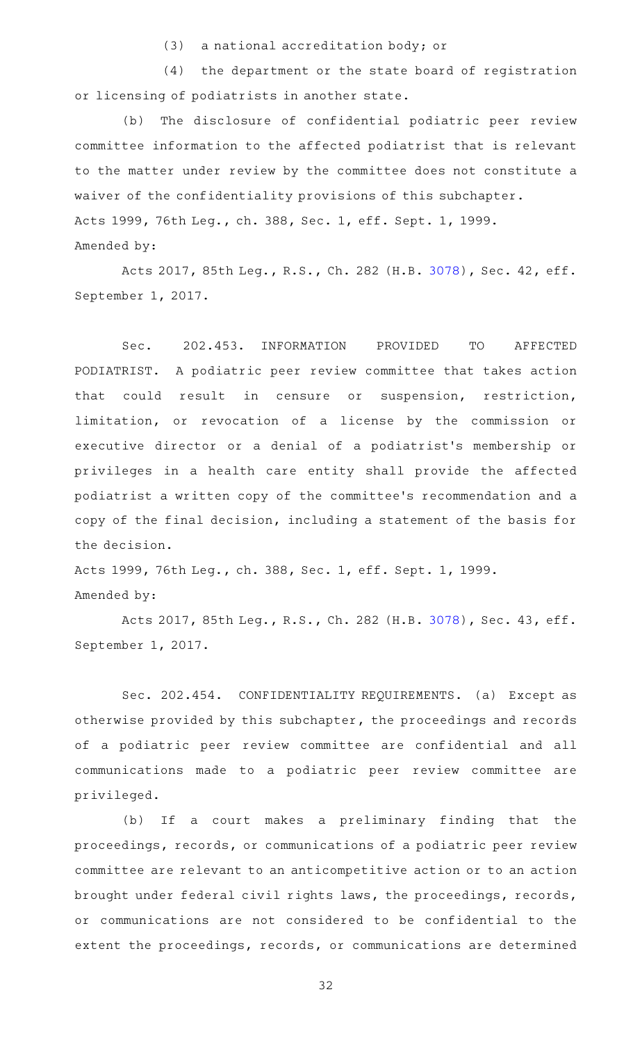(3) a national accreditation body; or

 $(4)$  the department or the state board of registration or licensing of podiatrists in another state.

(b) The disclosure of confidential podiatric peer review committee information to the affected podiatrist that is relevant to the matter under review by the committee does not constitute a waiver of the confidentiality provisions of this subchapter. Acts 1999, 76th Leg., ch. 388, Sec. 1, eff. Sept. 1, 1999. Amended by:

Acts 2017, 85th Leg., R.S., Ch. 282 (H.B. [3078\)](http://www.legis.state.tx.us/tlodocs/85R/billtext/html/HB03078F.HTM), Sec. 42, eff. September 1, 2017.

Sec. 202.453. INFORMATION PROVIDED TO AFFECTED PODIATRIST. A podiatric peer review committee that takes action that could result in censure or suspension, restriction, limitation, or revocation of a license by the commission or executive director or a denial of a podiatrist's membership or privileges in a health care entity shall provide the affected podiatrist a written copy of the committee 's recommendation and a copy of the final decision, including a statement of the basis for the decision.

Acts 1999, 76th Leg., ch. 388, Sec. 1, eff. Sept. 1, 1999. Amended by:

Acts 2017, 85th Leg., R.S., Ch. 282 (H.B. [3078\)](http://www.legis.state.tx.us/tlodocs/85R/billtext/html/HB03078F.HTM), Sec. 43, eff. September 1, 2017.

Sec. 202.454. CONFIDENTIALITY REQUIREMENTS. (a) Except as otherwise provided by this subchapter, the proceedings and records of a podiatric peer review committee are confidential and all communications made to a podiatric peer review committee are privileged.

(b) If a court makes a preliminary finding that the proceedings, records, or communications of a podiatric peer review committee are relevant to an anticompetitive action or to an action brought under federal civil rights laws, the proceedings, records, or communications are not considered to be confidential to the extent the proceedings, records, or communications are determined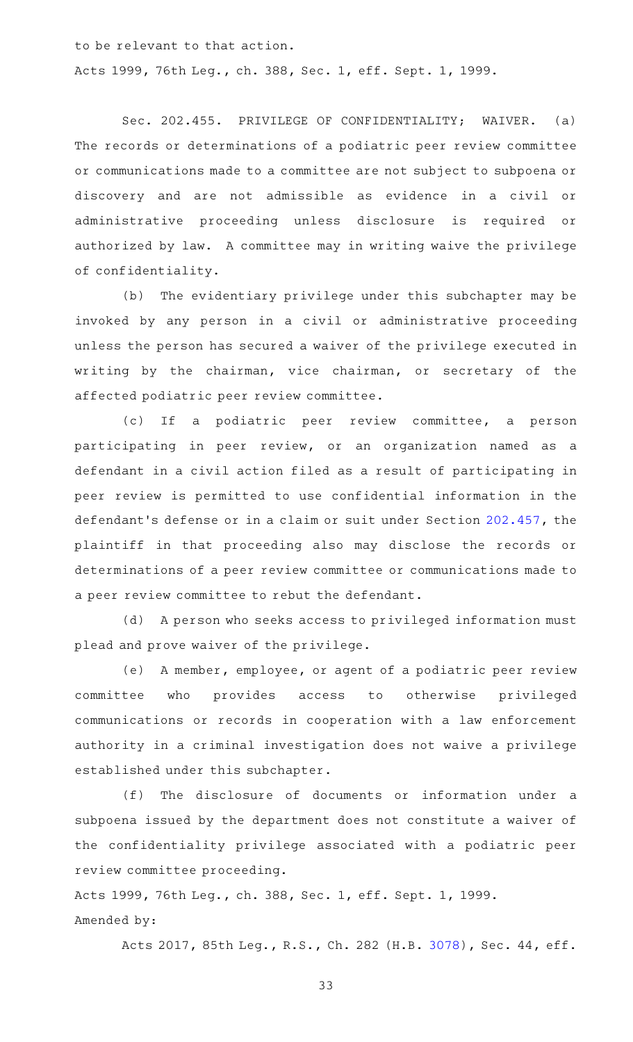to be relevant to that action.

Acts 1999, 76th Leg., ch. 388, Sec. 1, eff. Sept. 1, 1999.

Sec. 202.455. PRIVILEGE OF CONFIDENTIALITY; WAIVER. (a) The records or determinations of a podiatric peer review committee or communications made to a committee are not subject to subpoena or discovery and are not admissible as evidence in a civil or administrative proceeding unless disclosure is required or authorized by law. A committee may in writing waive the privilege of confidentiality.

(b) The evidentiary privilege under this subchapter may be invoked by any person in a civil or administrative proceeding unless the person has secured a waiver of the privilege executed in writing by the chairman, vice chairman, or secretary of the affected podiatric peer review committee.

(c) If a podiatric peer review committee, a person participating in peer review, or an organization named as a defendant in a civil action filed as a result of participating in peer review is permitted to use confidential information in the defendant 's defense or in a claim or suit under Section [202.457,](http://www.statutes.legis.state.tx.us/GetStatute.aspx?Code=OC&Value=202.457) the plaintiff in that proceeding also may disclose the records or determinations of a peer review committee or communications made to a peer review committee to rebut the defendant.

(d) A person who seeks access to privileged information must plead and prove waiver of the privilege.

(e) A member, employee, or agent of a podiatric peer review committee who provides access to otherwise privileged communications or records in cooperation with a law enforcement authority in a criminal investigation does not waive a privilege established under this subchapter.

(f) The disclosure of documents or information under a subpoena issued by the department does not constitute a waiver of the confidentiality privilege associated with a podiatric peer review committee proceeding.

Acts 1999, 76th Leg., ch. 388, Sec. 1, eff. Sept. 1, 1999. Amended by:

Acts 2017, 85th Leg., R.S., Ch. 282 (H.B. [3078\)](http://www.legis.state.tx.us/tlodocs/85R/billtext/html/HB03078F.HTM), Sec. 44, eff.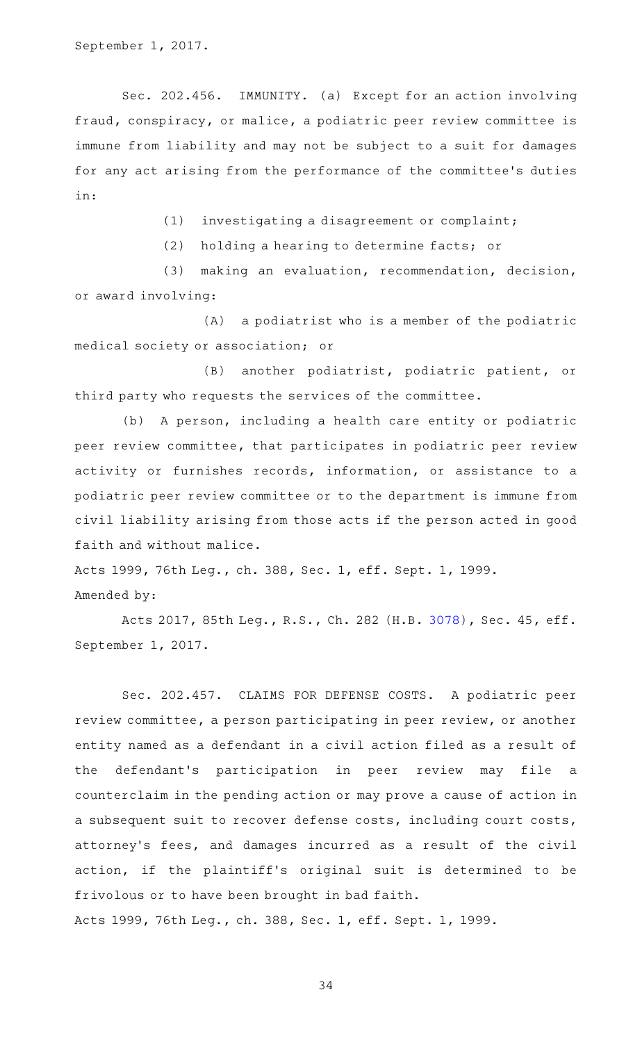September 1, 2017.

Sec. 202.456. IMMUNITY. (a) Except for an action involving fraud, conspiracy, or malice, a podiatric peer review committee is immune from liability and may not be subject to a suit for damages for any act arising from the performance of the committee 's duties in:

(1) investigating a disagreement or complaint;

(2) holding a hearing to determine facts; or

(3) making an evaluation, recommendation, decision, or award involving:

(A) a podiatrist who is a member of the podiatric medical society or association; or

(B) another podiatrist, podiatric patient, or third party who requests the services of the committee.

(b) A person, including a health care entity or podiatric peer review committee, that participates in podiatric peer review activity or furnishes records, information, or assistance to a podiatric peer review committee or to the department is immune from civil liability arising from those acts if the person acted in good faith and without malice.

Acts 1999, 76th Leg., ch. 388, Sec. 1, eff. Sept. 1, 1999. Amended by:

Acts 2017, 85th Leg., R.S., Ch. 282 (H.B. [3078\)](http://www.legis.state.tx.us/tlodocs/85R/billtext/html/HB03078F.HTM), Sec. 45, eff. September 1, 2017.

Sec. 202.457. CLAIMS FOR DEFENSE COSTS. A podiatric peer review committee, a person participating in peer review, or another entity named as a defendant in a civil action filed as a result of the defendant 's participation in peer review may file a counterclaim in the pending action or may prove a cause of action in a subsequent suit to recover defense costs, including court costs, attorney's fees, and damages incurred as a result of the civil action, if the plaintiff's original suit is determined to be frivolous or to have been brought in bad faith. Acts 1999, 76th Leg., ch. 388, Sec. 1, eff. Sept. 1, 1999.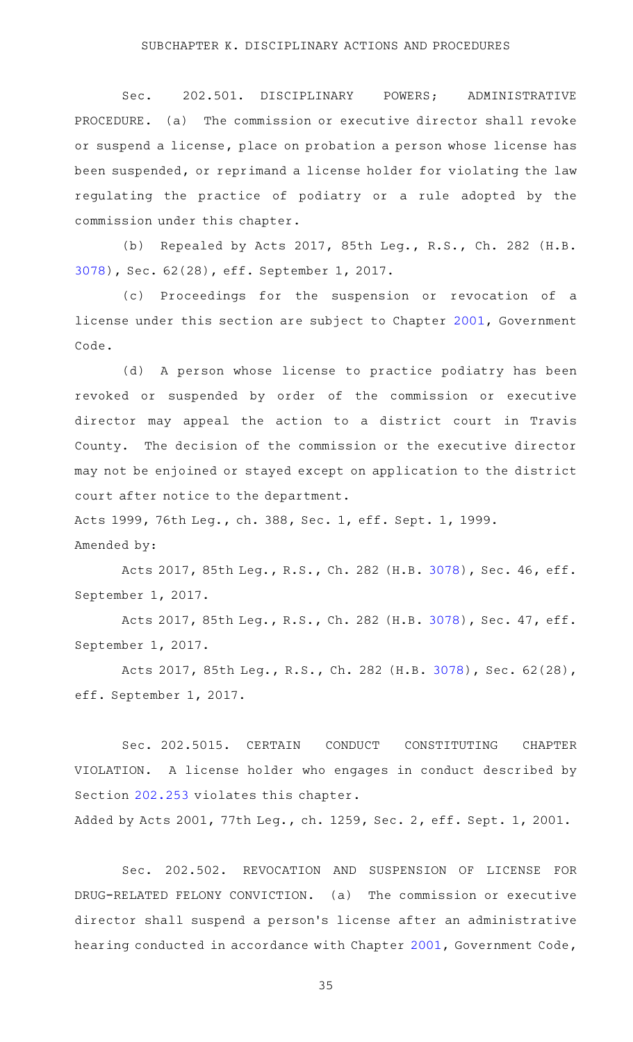Sec. 202.501. DISCIPLINARY POWERS; ADMINISTRATIVE PROCEDURE. (a) The commission or executive director shall revoke or suspend a license, place on probation a person whose license has been suspended, or reprimand a license holder for violating the law regulating the practice of podiatry or a rule adopted by the commission under this chapter.

(b) Repealed by Acts 2017, 85th Leg., R.S., Ch. 282 (H.B. [3078](http://www.legis.state.tx.us/tlodocs/85R/billtext/html/HB03078F.HTM)), Sec. 62(28), eff. September 1, 2017.

(c) Proceedings for the suspension or revocation of a license under this section are subject to Chapter [2001,](http://www.statutes.legis.state.tx.us/GetStatute.aspx?Code=GV&Value=2001) Government Code.

(d) A person whose license to practice podiatry has been revoked or suspended by order of the commission or executive director may appeal the action to a district court in Travis County. The decision of the commission or the executive director may not be enjoined or stayed except on application to the district court after notice to the department.

Acts 1999, 76th Leg., ch. 388, Sec. 1, eff. Sept. 1, 1999.

#### Amended by:

Acts 2017, 85th Leg., R.S., Ch. 282 (H.B. [3078\)](http://www.legis.state.tx.us/tlodocs/85R/billtext/html/HB03078F.HTM), Sec. 46, eff. September 1, 2017.

Acts 2017, 85th Leg., R.S., Ch. 282 (H.B. [3078\)](http://www.legis.state.tx.us/tlodocs/85R/billtext/html/HB03078F.HTM), Sec. 47, eff. September 1, 2017.

Acts 2017, 85th Leg., R.S., Ch. 282 (H.B. [3078\)](http://www.legis.state.tx.us/tlodocs/85R/billtext/html/HB03078F.HTM), Sec. 62(28), eff. September 1, 2017.

Sec. 202.5015. CERTAIN CONDUCT CONSTITUTING CHAPTER VIOLATION. A license holder who engages in conduct described by Section [202.253](http://www.statutes.legis.state.tx.us/GetStatute.aspx?Code=OC&Value=202.253) violates this chapter.

Added by Acts 2001, 77th Leg., ch. 1259, Sec. 2, eff. Sept. 1, 2001.

Sec. 202.502. REVOCATION AND SUSPENSION OF LICENSE FOR DRUG-RELATED FELONY CONVICTION. (a) The commission or executive director shall suspend a person 's license after an administrative hearing conducted in accordance with Chapter [2001](http://www.statutes.legis.state.tx.us/GetStatute.aspx?Code=GV&Value=2001), Government Code,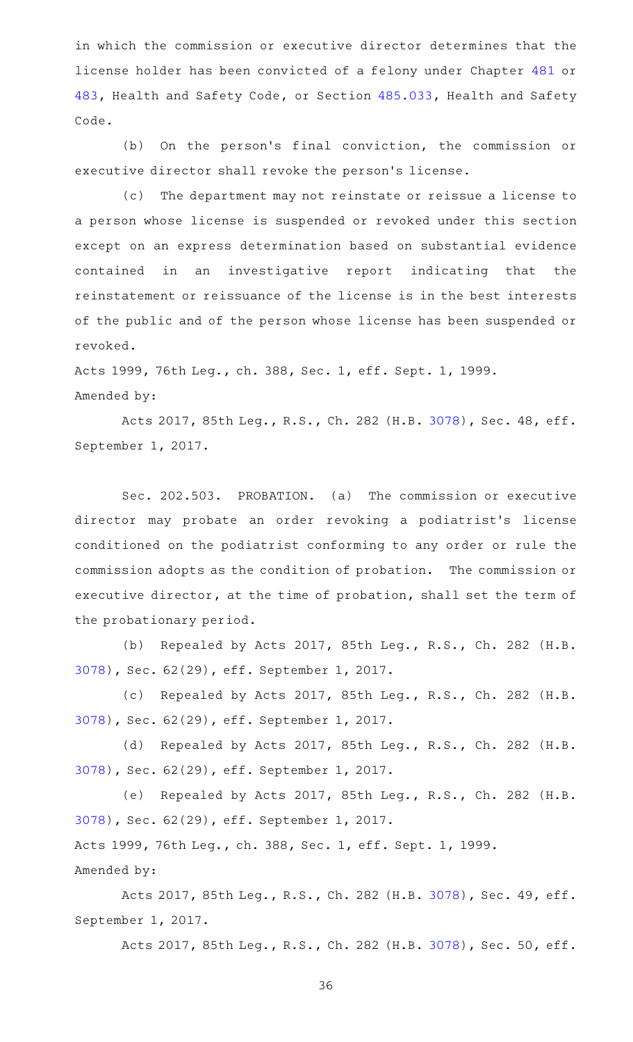in which the commission or executive director determines that the license holder has been convicted of a felony under Chapter [481](http://www.statutes.legis.state.tx.us/GetStatute.aspx?Code=HS&Value=481) or [483,](http://www.statutes.legis.state.tx.us/GetStatute.aspx?Code=HS&Value=483) Health and Safety Code, or Section [485.033](http://www.statutes.legis.state.tx.us/GetStatute.aspx?Code=HS&Value=485.033), Health and Safety Code.

(b) On the person's final conviction, the commission or executive director shall revoke the person's license.

(c) The department may not reinstate or reissue a license to a person whose license is suspended or revoked under this section except on an express determination based on substantial evidence contained in an investigative report indicating that the reinstatement or reissuance of the license is in the best interests of the public and of the person whose license has been suspended or revoked.

Acts 1999, 76th Leg., ch. 388, Sec. 1, eff. Sept. 1, 1999. Amended by:

Acts 2017, 85th Leg., R.S., Ch. 282 (H.B. [3078\)](http://www.legis.state.tx.us/tlodocs/85R/billtext/html/HB03078F.HTM), Sec. 48, eff. September 1, 2017.

Sec. 202.503. PROBATION. (a) The commission or executive director may probate an order revoking a podiatrist's license conditioned on the podiatrist conforming to any order or rule the commission adopts as the condition of probation. The commission or executive director, at the time of probation, shall set the term of the probationary period.

(b) Repealed by Acts 2017, 85th Leg., R.S., Ch. 282 (H.B. [3078](http://www.legis.state.tx.us/tlodocs/85R/billtext/html/HB03078F.HTM)), Sec. 62(29), eff. September 1, 2017.

(c) Repealed by Acts 2017, 85th Leg., R.S., Ch. 282 (H.B. [3078](http://www.legis.state.tx.us/tlodocs/85R/billtext/html/HB03078F.HTM)), Sec. 62(29), eff. September 1, 2017.

(d) Repealed by Acts 2017, 85th Leg., R.S., Ch. 282 (H.B. [3078](http://www.legis.state.tx.us/tlodocs/85R/billtext/html/HB03078F.HTM)), Sec. 62(29), eff. September 1, 2017.

(e) Repealed by Acts 2017, 85th Leg., R.S., Ch. 282 (H.B. [3078](http://www.legis.state.tx.us/tlodocs/85R/billtext/html/HB03078F.HTM)), Sec. 62(29), eff. September 1, 2017. Acts 1999, 76th Leg., ch. 388, Sec. 1, eff. Sept. 1, 1999.

Amended by:

Acts 2017, 85th Leg., R.S., Ch. 282 (H.B. [3078\)](http://www.legis.state.tx.us/tlodocs/85R/billtext/html/HB03078F.HTM), Sec. 49, eff. September 1, 2017.

Acts 2017, 85th Leg., R.S., Ch. 282 (H.B. [3078\)](http://www.legis.state.tx.us/tlodocs/85R/billtext/html/HB03078F.HTM), Sec. 50, eff.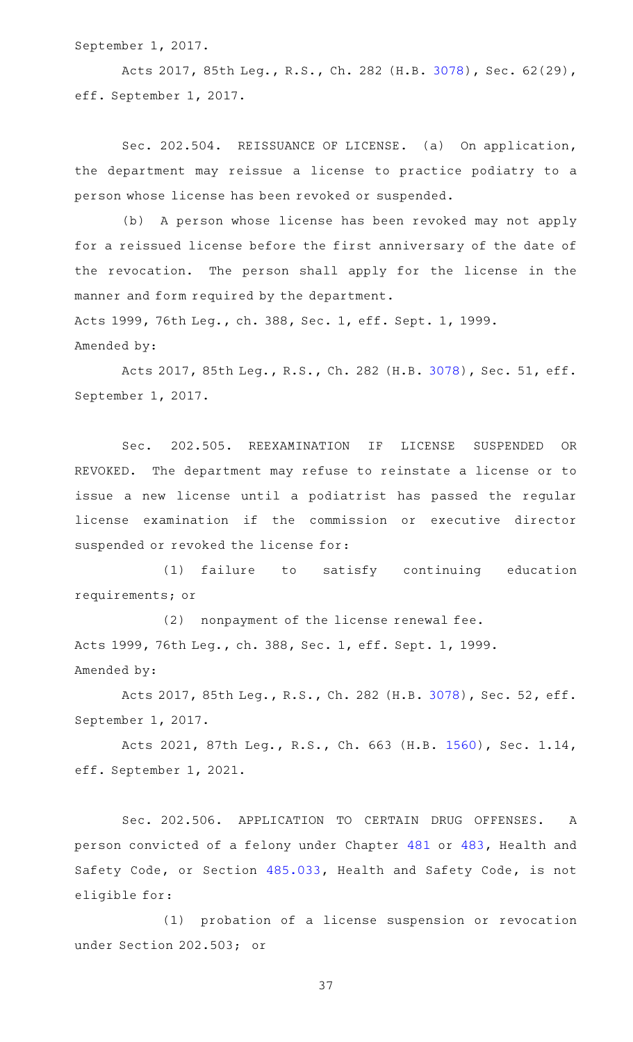September 1, 2017.

Acts 2017, 85th Leg., R.S., Ch. 282 (H.B. [3078\)](http://www.legis.state.tx.us/tlodocs/85R/billtext/html/HB03078F.HTM), Sec. 62(29), eff. September 1, 2017.

Sec. 202.504. REISSUANCE OF LICENSE. (a) On application, the department may reissue a license to practice podiatry to a person whose license has been revoked or suspended.

(b) A person whose license has been revoked may not apply for a reissued license before the first anniversary of the date of the revocation. The person shall apply for the license in the manner and form required by the department.

Acts 1999, 76th Leg., ch. 388, Sec. 1, eff. Sept. 1, 1999. Amended by:

Acts 2017, 85th Leg., R.S., Ch. 282 (H.B. [3078\)](http://www.legis.state.tx.us/tlodocs/85R/billtext/html/HB03078F.HTM), Sec. 51, eff. September 1, 2017.

Sec. 202.505. REEXAMINATION IF LICENSE SUSPENDED OR REVOKED. The department may refuse to reinstate a license or to issue a new license until a podiatrist has passed the regular license examination if the commission or executive director suspended or revoked the license for:

(1) failure to satisfy continuing education requirements; or

(2) nonpayment of the license renewal fee. Acts 1999, 76th Leg., ch. 388, Sec. 1, eff. Sept. 1, 1999. Amended by:

Acts 2017, 85th Leg., R.S., Ch. 282 (H.B. [3078\)](http://www.legis.state.tx.us/tlodocs/85R/billtext/html/HB03078F.HTM), Sec. 52, eff. September 1, 2017.

Acts 2021, 87th Leg., R.S., Ch. 663 (H.B. [1560\)](http://www.legis.state.tx.us/tlodocs/87R/billtext/html/HB01560F.HTM), Sec. 1.14, eff. September 1, 2021.

Sec. 202.506. APPLICATION TO CERTAIN DRUG OFFENSES. A person convicted of a felony under Chapter [481](http://www.statutes.legis.state.tx.us/GetStatute.aspx?Code=HS&Value=481) or [483](http://www.statutes.legis.state.tx.us/GetStatute.aspx?Code=HS&Value=483), Health and Safety Code, or Section [485.033](http://www.statutes.legis.state.tx.us/GetStatute.aspx?Code=HS&Value=485.033), Health and Safety Code, is not eligible for:

(1) probation of a license suspension or revocation under Section 202.503; or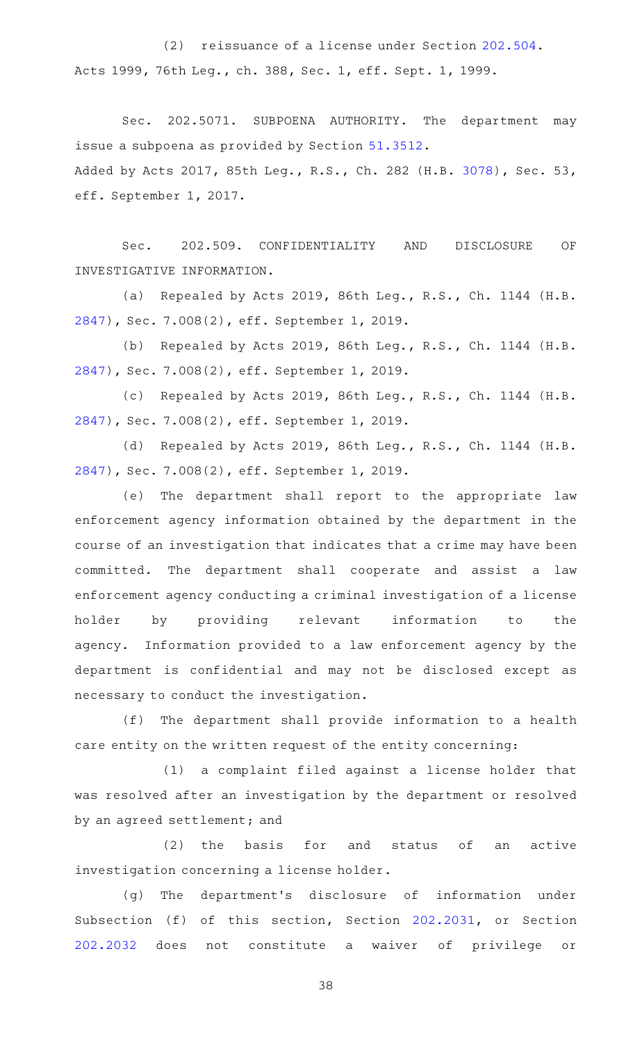(2) reissuance of a license under Section [202.504.](http://www.statutes.legis.state.tx.us/GetStatute.aspx?Code=OC&Value=202.504) Acts 1999, 76th Leg., ch. 388, Sec. 1, eff. Sept. 1, 1999.

Sec. 202.5071. SUBPOENA AUTHORITY. The department may issue a subpoena as provided by Section [51.3512](http://www.statutes.legis.state.tx.us/GetStatute.aspx?Code=OC&Value=51.3512). Added by Acts 2017, 85th Leg., R.S., Ch. 282 (H.B. [3078\)](http://www.legis.state.tx.us/tlodocs/85R/billtext/html/HB03078F.HTM), Sec. 53, eff. September 1, 2017.

Sec. 202.509. CONFIDENTIALITY AND DISCLOSURE OF INVESTIGATIVE INFORMATION.

(a) Repealed by Acts 2019, 86th Leg., R.S., Ch. 1144 (H.B. [2847](http://www.legis.state.tx.us/tlodocs/86R/billtext/html/HB02847F.HTM)), Sec. 7.008(2), eff. September 1, 2019.

(b) Repealed by Acts 2019, 86th Leg., R.S., Ch. 1144 (H.B. [2847](http://www.legis.state.tx.us/tlodocs/86R/billtext/html/HB02847F.HTM)), Sec. 7.008(2), eff. September 1, 2019.

(c) Repealed by Acts 2019, 86th Leg., R.S., Ch. 1144 (H.B. [2847](http://www.legis.state.tx.us/tlodocs/86R/billtext/html/HB02847F.HTM)), Sec. 7.008(2), eff. September 1, 2019.

(d) Repealed by Acts 2019, 86th Leg., R.S., Ch. 1144 (H.B. [2847](http://www.legis.state.tx.us/tlodocs/86R/billtext/html/HB02847F.HTM)), Sec. 7.008(2), eff. September 1, 2019.

(e) The department shall report to the appropriate law enforcement agency information obtained by the department in the course of an investigation that indicates that a crime may have been committed. The department shall cooperate and assist a law enforcement agency conducting a criminal investigation of a license holder by providing relevant information to the agency. Information provided to a law enforcement agency by the department is confidential and may not be disclosed except as necessary to conduct the investigation.

(f) The department shall provide information to a health care entity on the written request of the entity concerning:

(1) a complaint filed against a license holder that was resolved after an investigation by the department or resolved by an agreed settlement; and

(2) the basis for and status of an active investigation concerning a license holder.

(g) The department's disclosure of information under Subsection (f) of this section, Section [202.2031](http://www.statutes.legis.state.tx.us/GetStatute.aspx?Code=OC&Value=202.2031), or Section [202.2032](http://www.statutes.legis.state.tx.us/GetStatute.aspx?Code=OC&Value=202.2032) does not constitute a waiver of privilege or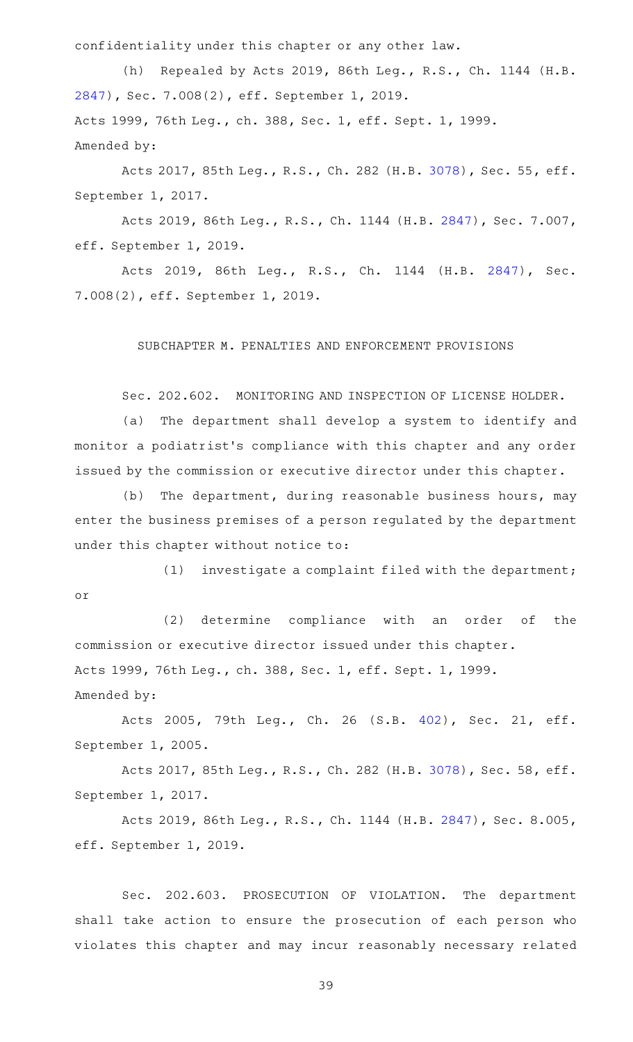confidentiality under this chapter or any other law.

(h) Repealed by Acts 2019, 86th Leg., R.S., Ch. 1144 (H.B. [2847](http://www.legis.state.tx.us/tlodocs/86R/billtext/html/HB02847F.HTM)), Sec. 7.008(2), eff. September 1, 2019. Acts 1999, 76th Leg., ch. 388, Sec. 1, eff. Sept. 1, 1999. Amended by:

Acts 2017, 85th Leg., R.S., Ch. 282 (H.B. [3078\)](http://www.legis.state.tx.us/tlodocs/85R/billtext/html/HB03078F.HTM), Sec. 55, eff. September 1, 2017.

Acts 2019, 86th Leg., R.S., Ch. 1144 (H.B. [2847](http://www.legis.state.tx.us/tlodocs/86R/billtext/html/HB02847F.HTM)), Sec. 7.007, eff. September 1, 2019.

Acts 2019, 86th Leg., R.S., Ch. 1144 (H.B. [2847\)](http://www.legis.state.tx.us/tlodocs/86R/billtext/html/HB02847F.HTM), Sec. 7.008(2), eff. September 1, 2019.

## SUBCHAPTER M. PENALTIES AND ENFORCEMENT PROVISIONS

Sec. 202.602. MONITORING AND INSPECTION OF LICENSE HOLDER.

(a) The department shall develop a system to identify and monitor a podiatrist 's compliance with this chapter and any order issued by the commission or executive director under this chapter.

(b) The department, during reasonable business hours, may enter the business premises of a person regulated by the department under this chapter without notice to:

 $(1)$  investigate a complaint filed with the department; or

(2) determine compliance with an order of the commission or executive director issued under this chapter. Acts 1999, 76th Leg., ch. 388, Sec. 1, eff. Sept. 1, 1999. Amended by:

Acts 2005, 79th Leg., Ch. 26 (S.B. [402](http://www.legis.state.tx.us/tlodocs/79R/billtext/html/SB00402F.HTM)), Sec. 21, eff. September 1, 2005.

Acts 2017, 85th Leg., R.S., Ch. 282 (H.B. [3078\)](http://www.legis.state.tx.us/tlodocs/85R/billtext/html/HB03078F.HTM), Sec. 58, eff. September 1, 2017.

Acts 2019, 86th Leg., R.S., Ch. 1144 (H.B. [2847](http://www.legis.state.tx.us/tlodocs/86R/billtext/html/HB02847F.HTM)), Sec. 8.005, eff. September 1, 2019.

Sec. 202.603. PROSECUTION OF VIOLATION. The department shall take action to ensure the prosecution of each person who violates this chapter and may incur reasonably necessary related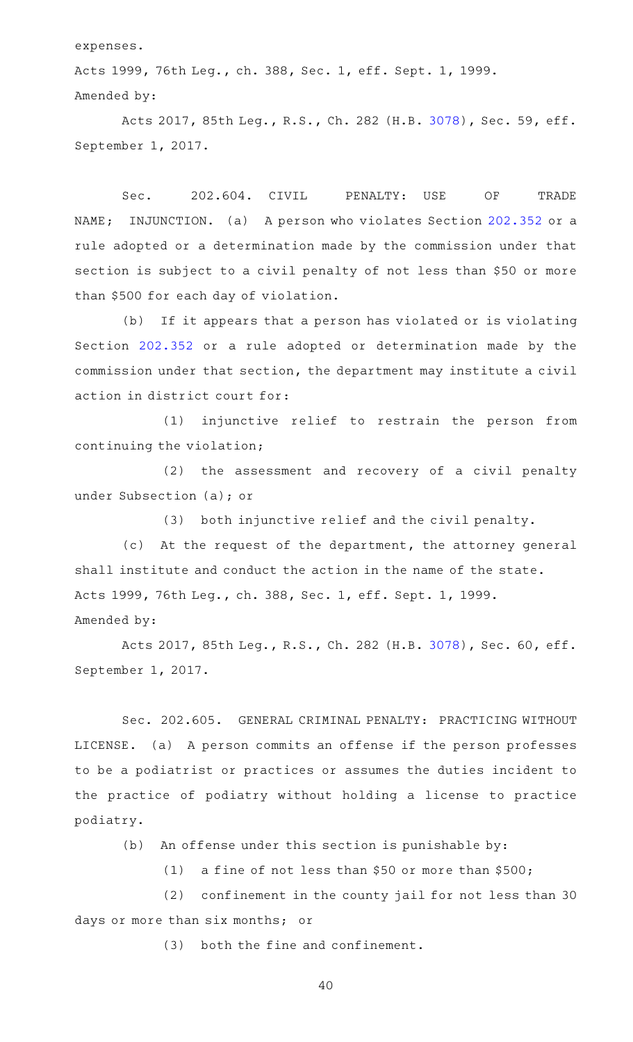expenses.

Acts 1999, 76th Leg., ch. 388, Sec. 1, eff. Sept. 1, 1999. Amended by:

Acts 2017, 85th Leg., R.S., Ch. 282 (H.B. [3078\)](http://www.legis.state.tx.us/tlodocs/85R/billtext/html/HB03078F.HTM), Sec. 59, eff. September 1, 2017.

Sec. 202.604. CIVIL PENALTY: USE OF TRADE NAME; INJUNCTION. (a) A person who violates Section [202.352](http://www.statutes.legis.state.tx.us/GetStatute.aspx?Code=OC&Value=202.352) or a rule adopted or a determination made by the commission under that section is subject to a civil penalty of not less than \$50 or more than \$500 for each day of violation.

(b) If it appears that a person has violated or is violating Section [202.352](http://www.statutes.legis.state.tx.us/GetStatute.aspx?Code=OC&Value=202.352) or a rule adopted or determination made by the commission under that section, the department may institute a civil action in district court for:

(1) injunctive relief to restrain the person from continuing the violation;

(2) the assessment and recovery of a civil penalty under Subsection (a); or

(3) both injunctive relief and the civil penalty.

(c) At the request of the department, the attorney general shall institute and conduct the action in the name of the state. Acts 1999, 76th Leg., ch. 388, Sec. 1, eff. Sept. 1, 1999. Amended by:

Acts 2017, 85th Leg., R.S., Ch. 282 (H.B. [3078\)](http://www.legis.state.tx.us/tlodocs/85R/billtext/html/HB03078F.HTM), Sec. 60, eff. September 1, 2017.

Sec. 202.605. GENERAL CRIMINAL PENALTY: PRACTICING WITHOUT LICENSE. (a) A person commits an offense if the person professes to be a podiatrist or practices or assumes the duties incident to the practice of podiatry without holding a license to practice podiatry.

 $(b)$  An offense under this section is punishable by:

(1) a fine of not less than \$50 or more than  $$500;$ 

(2) confinement in the county jail for not less than 30 days or more than six months; or

 $(3)$  both the fine and confinement.